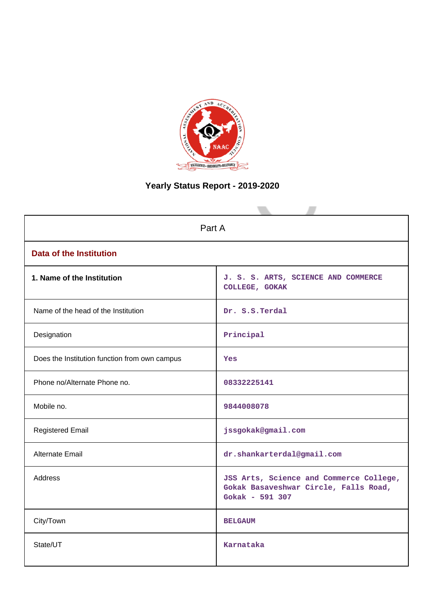

# **Yearly Status Report - 2019-2020**

| Part A                                        |                                                                                                     |  |  |  |
|-----------------------------------------------|-----------------------------------------------------------------------------------------------------|--|--|--|
| <b>Data of the Institution</b>                |                                                                                                     |  |  |  |
| 1. Name of the Institution                    | J. S. S. ARTS, SCIENCE AND COMMERCE<br>COLLEGE, GOKAK                                               |  |  |  |
| Name of the head of the Institution           | Dr. S.S.Terdal                                                                                      |  |  |  |
| Designation                                   | Principal                                                                                           |  |  |  |
| Does the Institution function from own campus | Yes                                                                                                 |  |  |  |
| Phone no/Alternate Phone no.                  | 08332225141                                                                                         |  |  |  |
| Mobile no.                                    | 9844008078                                                                                          |  |  |  |
| <b>Registered Email</b>                       | jssgokak@gmail.com                                                                                  |  |  |  |
| Alternate Email                               | dr.shankarterdal@gmail.com                                                                          |  |  |  |
| <b>Address</b>                                | JSS Arts, Science and Commerce College,<br>Gokak Basaveshwar Circle, Falls Road,<br>Gokak - 591 307 |  |  |  |
| City/Town                                     | <b>BELGAUM</b>                                                                                      |  |  |  |
| State/UT                                      | Karnataka                                                                                           |  |  |  |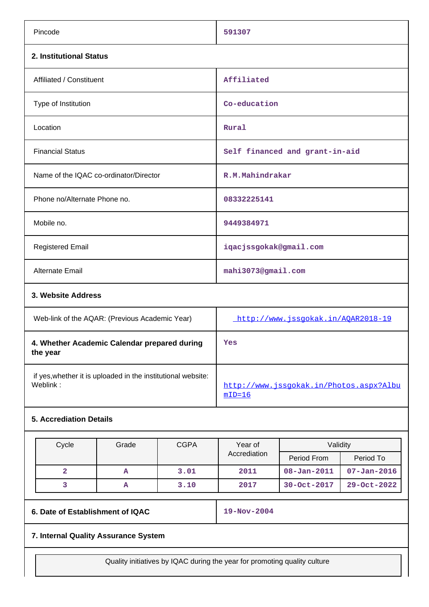| Pincode                                | 591307                         |  |  |  |
|----------------------------------------|--------------------------------|--|--|--|
| 2. Institutional Status                |                                |  |  |  |
| Affiliated / Constituent               | Affiliated                     |  |  |  |
| Type of Institution                    | Co-education                   |  |  |  |
| Location                               | Rural                          |  |  |  |
| <b>Financial Status</b>                | Self financed and grant-in-aid |  |  |  |
| Name of the IQAC co-ordinator/Director | R.M.Mahindrakar                |  |  |  |
| Phone no/Alternate Phone no.           | 08332225141                    |  |  |  |
| Mobile no.                             | 9449384971                     |  |  |  |
| <b>Registered Email</b>                | iqacjssgokak@gmail.com         |  |  |  |
| Alternate Email                        | mahi3073@gmail.com             |  |  |  |
| 3. Website Address                     |                                |  |  |  |

| Web-link of the AQAR: (Previous Academic Year)                           | http://www.jssqokak.in/AOAR2018-19                    |
|--------------------------------------------------------------------------|-------------------------------------------------------|
| 4. Whether Academic Calendar prepared during<br>the year                 | Yes                                                   |
| if yes, whether it is uploaded in the institutional website:<br>Weblink: | http://www.issgokak.in/Photos.aspx?Albu<br>$mID = 16$ |

## **5. Accrediation Details**

| Cycle | Grade | <b>CGPA</b> | Year of<br>Accrediation | Validity          |                   |
|-------|-------|-------------|-------------------------|-------------------|-------------------|
|       |       |             |                         | Period From       | Period To         |
|       | А     | 3.01        | 2011                    | $08 - Jan - 2011$ | $07 - Jan - 2016$ |
|       | А     | 3.10        | 2017                    | 30-Oct-2017       | 29-Oct-2022       |

**6. Date of Establishment of IQAC** 19-Nov-2004

## **7. Internal Quality Assurance System**

Quality initiatives by IQAC during the year for promoting quality culture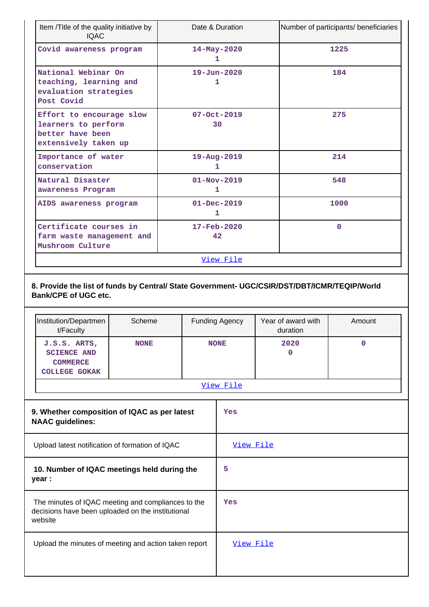| Item /Title of the quality initiative by<br><b>IQAC</b>                                     | Date & Duration                             | Number of participants/ beneficiaries |
|---------------------------------------------------------------------------------------------|---------------------------------------------|---------------------------------------|
| Covid awareness program                                                                     | 14-May-2020<br>1                            | 1225                                  |
| National Webinar On<br>teaching, learning and<br>evaluation strategies<br>Post Covid        | $19 - Jun - 2020$<br>1                      | 184                                   |
| Effort to encourage slow<br>learners to perform<br>better have been<br>extensively taken up | $07 - Oct - 2019$<br>30                     | 275                                   |
| Importance of water<br>conservation                                                         | $19 - Aug - 2019$<br>1                      | 214                                   |
| Natural Disaster<br>awareness Program                                                       | $01 - Nov - 2019$<br>1                      | 548                                   |
| AIDS awareness program                                                                      | $01 - Dec - 2019$<br>1                      | 1000                                  |
| Certificate courses in<br>farm waste management and<br>Mushroom Culture                     | $17 - \text{Feb} - 2020$<br>42 <sup>°</sup> | $\Omega$                              |
|                                                                                             | View File                                   |                                       |

**8. Provide the list of funds by Central/ State Government- UGC/CSIR/DST/DBT/ICMR/TEQIP/World Bank/CPE of UGC etc.**

|                                                                                                                    | Institution/Departmen<br>t/Faculty                                            | Scheme      |             | <b>Funding Agency</b> | Year of award with<br>duration | Amount |
|--------------------------------------------------------------------------------------------------------------------|-------------------------------------------------------------------------------|-------------|-------------|-----------------------|--------------------------------|--------|
|                                                                                                                    | J.S.S. ARTS,<br><b>SCIENCE AND</b><br><b>COMMERCE</b><br><b>COLLEGE GOKAK</b> | <b>NONE</b> | <b>NONE</b> |                       | 2020<br>$\mathbf 0$            | 0      |
|                                                                                                                    |                                                                               |             |             | View File             |                                |        |
| 9. Whether composition of IQAC as per latest<br><b>NAAC</b> guidelines:                                            |                                                                               |             |             | Yes                   |                                |        |
| Upload latest notification of formation of IQAC                                                                    |                                                                               |             | View File   |                       |                                |        |
| 10. Number of IQAC meetings held during the<br>year :                                                              |                                                                               |             |             | 5                     |                                |        |
| The minutes of IQAC meeting and compliances to the<br>decisions have been uploaded on the institutional<br>website |                                                                               | Yes         |             |                       |                                |        |
| Upload the minutes of meeting and action taken report                                                              |                                                                               | View File   |             |                       |                                |        |
|                                                                                                                    |                                                                               |             |             |                       |                                |        |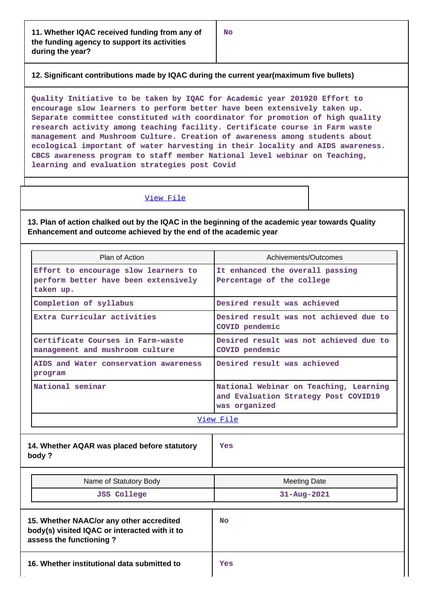**12. Significant contributions made by IQAC during the current year(maximum five bullets)**

**Quality Initiative to be taken by IQAC for Academic year 201920 Effort to encourage slow learners to perform better have been extensively taken up. Separate committee constituted with coordinator for promotion of high quality research activity among teaching facility. Certificate course in Farm waste management and Mushroom Culture. Creation of awareness among students about ecological important of water harvesting in their locality and AIDS awareness. CBCS awareness program to staff member National level webinar on Teaching, learning and evaluation strategies post Covid**

#### [View File](https://assessmentonline.naac.gov.in/public/Postacc/Contribution/5930_Contribution.xlsx)

**13. Plan of action chalked out by the IQAC in the beginning of the academic year towards Quality Enhancement and outcome achieved by the end of the academic year**

| Plan of Action                                                                            | Achivements/Outcomes                                                                            |  |  |
|-------------------------------------------------------------------------------------------|-------------------------------------------------------------------------------------------------|--|--|
| Effort to encourage slow learners to<br>perform better have been extensively<br>taken up. | It enhanced the overall passing<br>Percentage of the college                                    |  |  |
| Completion of syllabus                                                                    | Desired result was achieved                                                                     |  |  |
| Extra Curricular activities                                                               | Desired result was not achieved due to<br>COVID pendemic                                        |  |  |
| Certificate Courses in Farm-waste<br>management and mushroom culture                      | Desired result was not achieved due to<br>COVID pendemic                                        |  |  |
| AIDS and Water conservation awareness<br>program                                          | Desired result was achieved                                                                     |  |  |
| National seminar                                                                          | National Webinar on Teaching, Learning<br>and Evaluation Strategy Post COVID19<br>was organized |  |  |
| View File                                                                                 |                                                                                                 |  |  |

**14. Whether AQAR was placed before statutory body ?**

**Yes**

| Name of Statutory Body                                                                                               | <b>Meeting Date</b> |
|----------------------------------------------------------------------------------------------------------------------|---------------------|
| <b>JSS College</b>                                                                                                   | $31 - Aug - 2021$   |
| 15. Whether NAAC/or any other accredited<br>body(s) visited IQAC or interacted with it to<br>assess the functioning? | <b>No</b>           |

**16. Whether institutional data submitted to Yes**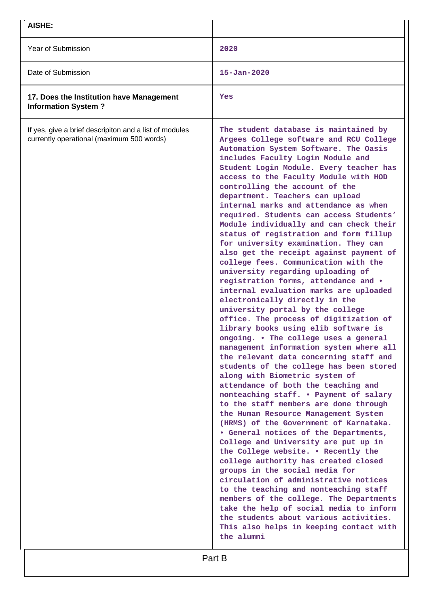| AISHE:                                                                                              |                                                                                                                                                                                                                                                                                                                                                                                                                                                                                                                                                                                                                                                                                                                                                                                                                                                                                                                                                                                                                                                                                                                                                                                                                                                                                                                                                                                                                                                                                                                                                                                                                                                                                                                                                                                                                |
|-----------------------------------------------------------------------------------------------------|----------------------------------------------------------------------------------------------------------------------------------------------------------------------------------------------------------------------------------------------------------------------------------------------------------------------------------------------------------------------------------------------------------------------------------------------------------------------------------------------------------------------------------------------------------------------------------------------------------------------------------------------------------------------------------------------------------------------------------------------------------------------------------------------------------------------------------------------------------------------------------------------------------------------------------------------------------------------------------------------------------------------------------------------------------------------------------------------------------------------------------------------------------------------------------------------------------------------------------------------------------------------------------------------------------------------------------------------------------------------------------------------------------------------------------------------------------------------------------------------------------------------------------------------------------------------------------------------------------------------------------------------------------------------------------------------------------------------------------------------------------------------------------------------------------------|
| Year of Submission                                                                                  | 2020                                                                                                                                                                                                                                                                                                                                                                                                                                                                                                                                                                                                                                                                                                                                                                                                                                                                                                                                                                                                                                                                                                                                                                                                                                                                                                                                                                                                                                                                                                                                                                                                                                                                                                                                                                                                           |
| Date of Submission                                                                                  | $15 - Jan - 2020$                                                                                                                                                                                                                                                                                                                                                                                                                                                                                                                                                                                                                                                                                                                                                                                                                                                                                                                                                                                                                                                                                                                                                                                                                                                                                                                                                                                                                                                                                                                                                                                                                                                                                                                                                                                              |
| 17. Does the Institution have Management<br><b>Information System?</b>                              | Yes                                                                                                                                                                                                                                                                                                                                                                                                                                                                                                                                                                                                                                                                                                                                                                                                                                                                                                                                                                                                                                                                                                                                                                                                                                                                                                                                                                                                                                                                                                                                                                                                                                                                                                                                                                                                            |
| If yes, give a brief descripiton and a list of modules<br>currently operational (maximum 500 words) | The student database is maintained by<br>Argees College software and RCU College<br>Automation System Software. The Oasis<br>includes Faculty Login Module and<br>Student Login Module. Every teacher has<br>access to the Faculty Module with HOD<br>controlling the account of the<br>department. Teachers can upload<br>internal marks and attendance as when<br>required. Students can access Students'<br>Module individually and can check their<br>status of registration and form fillup<br>for university examination. They can<br>also get the receipt against payment of<br>college fees. Communication with the<br>university regarding uploading of<br>registration forms, attendance and .<br>internal evaluation marks are uploaded<br>electronically directly in the<br>university portal by the college<br>office. The process of digitization of<br>library books using elib software is<br>ongoing. . The college uses a general<br>management information system where all<br>the relevant data concerning staff and<br>students of the college has been stored<br>along with Biometric system of<br>attendance of both the teaching and<br>nonteaching staff. . Payment of salary<br>to the staff members are done through<br>the Human Resource Management System<br>(HRMS) of the Government of Karnataka.<br>. General notices of the Departments,<br>College and University are put up in<br>the College website. . Recently the<br>college authority has created closed<br>groups in the social media for<br>circulation of administrative notices<br>to the teaching and nonteaching staff<br>members of the college. The Departments<br>take the help of social media to inform<br>the students about various activities.<br>This also helps in keeping contact with<br>the alumni |
|                                                                                                     | Part B                                                                                                                                                                                                                                                                                                                                                                                                                                                                                                                                                                                                                                                                                                                                                                                                                                                                                                                                                                                                                                                                                                                                                                                                                                                                                                                                                                                                                                                                                                                                                                                                                                                                                                                                                                                                         |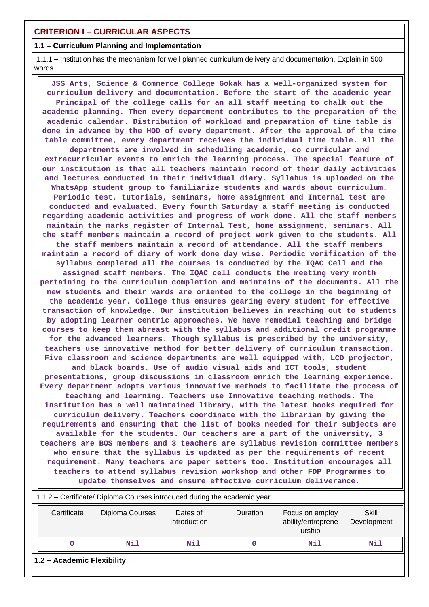#### **1.1 – Curriculum Planning and Implementation**

 1.1.1 – Institution has the mechanism for well planned curriculum delivery and documentation. Explain in 500 words

 **JSS Arts, Science & Commerce College Gokak has a well-organized system for curriculum delivery and documentation. Before the start of the academic year Principal of the college calls for an all staff meeting to chalk out the academic planning. Then every department contributes to the preparation of the academic calendar. Distribution of workload and preparation of time table is done in advance by the HOD of every department. After the approval of the time table committee, every department receives the individual time table. All the departments are involved in scheduling academic, co curricular and extracurricular events to enrich the learning process. The special feature of our institution is that all teachers maintain record of their daily activities and lectures conducted in their individual diary. Syllabus is uploaded on the WhatsApp student group to familiarize students and wards about curriculum. Periodic test, tutorials, seminars, home assignment and Internal test are conducted and evaluated. Every fourth Saturday a staff meeting is conducted regarding academic activities and progress of work done. All the staff members maintain the marks register of Internal Test, home assignment, seminars. All the staff members maintain a record of project work given to the students. All the staff members maintain a record of attendance. All the staff members maintain a record of diary of work done day wise. Periodic verification of the syllabus completed all the courses is conducted by the IQAC Cell and the assigned staff members. The IQAC cell conducts the meeting very month pertaining to the curriculum completion and maintains of the documents. All the new students and their wards are oriented to the college in the beginning of the academic year. College thus ensures gearing every student for effective transaction of knowledge. Our institution believes in reaching out to students by adopting learner centric approaches. We have remedial teaching and bridge courses to keep them abreast with the syllabus and additional credit programme for the advanced learners. Though syllabus is prescribed by the university, teachers use innovative method for better delivery of curriculum transaction. Five classroom and science departments are well equipped with, LCD projector, and black boards. Use of audio visual aids and ICT tools, student presentations, group discussions in classroom enrich the learning experience. Every department adopts various innovative methods to facilitate the process of teaching and learning. Teachers use Innovative teaching methods. The institution has a well maintained library, with the latest books required for curriculum delivery. Teachers coordinate with the librarian by giving the requirements and ensuring that the list of books needed for their subjects are available for the students. Our teachers are a part of the university, 3 teachers are BOS members and 3 teachers are syllabus revision committee members who ensure that the syllabus is updated as per the requirements of recent requirement. Many teachers are paper setters too. Institution encourages all teachers to attend syllabus revision workshop and other FDP Programmes to update themselves and ensure effective curriculum deliverance.** 1.1.2 – Certificate/ Diploma Courses introduced during the academic year

| Certificate                | Diploma Courses | Dates of<br>Introduction | <b>Duration</b> | Focus on employ<br>ability/entreprene<br>urship | Skill<br>Development |
|----------------------------|-----------------|--------------------------|-----------------|-------------------------------------------------|----------------------|
| O                          | Nil             | Nil                      |                 | Nil                                             | Nil                  |
| 1.2 - Academic Flexibility |                 |                          |                 |                                                 |                      |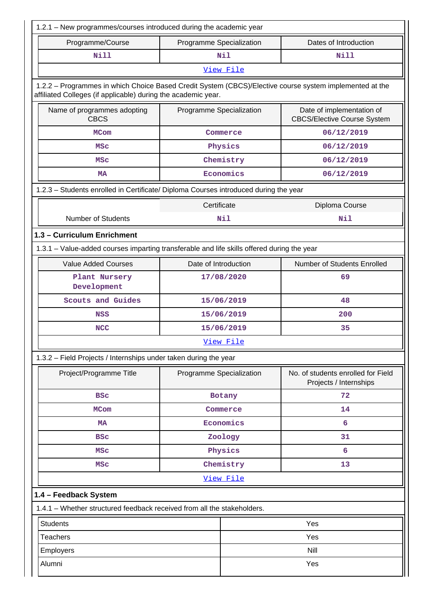| 1.2.1 - New programmes/courses introduced during the academic year                                                                                                       |                          |            |                                                                 |  |  |
|--------------------------------------------------------------------------------------------------------------------------------------------------------------------------|--------------------------|------------|-----------------------------------------------------------------|--|--|
| Programme/Course                                                                                                                                                         | Programme Specialization |            | Dates of Introduction                                           |  |  |
| <b>Nill</b>                                                                                                                                                              |                          | <b>Nil</b> | <b>Nill</b>                                                     |  |  |
| View File                                                                                                                                                                |                          |            |                                                                 |  |  |
| 1.2.2 - Programmes in which Choice Based Credit System (CBCS)/Elective course system implemented at the<br>affiliated Colleges (if applicable) during the academic year. |                          |            |                                                                 |  |  |
| Name of programmes adopting<br><b>CBCS</b>                                                                                                                               | Programme Specialization |            | Date of implementation of<br><b>CBCS/Elective Course System</b> |  |  |
| <b>MCom</b>                                                                                                                                                              |                          | Commerce   | 06/12/2019                                                      |  |  |
| <b>MSC</b>                                                                                                                                                               |                          | Physics    | 06/12/2019                                                      |  |  |
| <b>MSC</b>                                                                                                                                                               |                          | Chemistry  | 06/12/2019                                                      |  |  |
| <b>MA</b>                                                                                                                                                                |                          | Economics  | 06/12/2019                                                      |  |  |
| 1.2.3 - Students enrolled in Certificate/ Diploma Courses introduced during the year                                                                                     |                          |            |                                                                 |  |  |
|                                                                                                                                                                          | Certificate              |            | Diploma Course                                                  |  |  |
| <b>Number of Students</b>                                                                                                                                                |                          | Nil        | Nil                                                             |  |  |
| 1.3 - Curriculum Enrichment                                                                                                                                              |                          |            |                                                                 |  |  |
| 1.3.1 - Value-added courses imparting transferable and life skills offered during the year                                                                               |                          |            |                                                                 |  |  |
| <b>Value Added Courses</b>                                                                                                                                               | Date of Introduction     |            | Number of Students Enrolled                                     |  |  |
| Plant Nursery<br>Development                                                                                                                                             |                          | 17/08/2020 | 69                                                              |  |  |
| Scouts and Guides                                                                                                                                                        |                          | 15/06/2019 | 48                                                              |  |  |
| <b>NSS</b>                                                                                                                                                               | 15/06/2019               |            | 200                                                             |  |  |
| <b>NCC</b>                                                                                                                                                               | 15/06/2019               |            | 35                                                              |  |  |
| View File                                                                                                                                                                |                          |            |                                                                 |  |  |
| 1.3.2 - Field Projects / Internships under taken during the year                                                                                                         |                          |            |                                                                 |  |  |
| Project/Programme Title                                                                                                                                                  | Programme Specialization |            | No. of students enrolled for Field<br>Projects / Internships    |  |  |
| <b>BSC</b>                                                                                                                                                               |                          | Botany     | 72                                                              |  |  |
| <b>MCom</b>                                                                                                                                                              |                          | Commerce   | 14                                                              |  |  |
| <b>MA</b>                                                                                                                                                                |                          | Economics  | 6                                                               |  |  |
| <b>BSC</b>                                                                                                                                                               |                          | Zoology    | 31                                                              |  |  |
| <b>MSC</b>                                                                                                                                                               |                          | Physics    | 6                                                               |  |  |
| <b>MSC</b>                                                                                                                                                               |                          | Chemistry  | 13                                                              |  |  |
|                                                                                                                                                                          |                          | View File  |                                                                 |  |  |
| 1.4 - Feedback System                                                                                                                                                    |                          |            |                                                                 |  |  |
| 1.4.1 - Whether structured feedback received from all the stakeholders.                                                                                                  |                          |            |                                                                 |  |  |
| <b>Students</b>                                                                                                                                                          |                          |            | Yes                                                             |  |  |
| <b>Teachers</b>                                                                                                                                                          |                          |            | Yes                                                             |  |  |
| Employers                                                                                                                                                                |                          |            | Nill                                                            |  |  |
| Alumni                                                                                                                                                                   | Yes                      |            |                                                                 |  |  |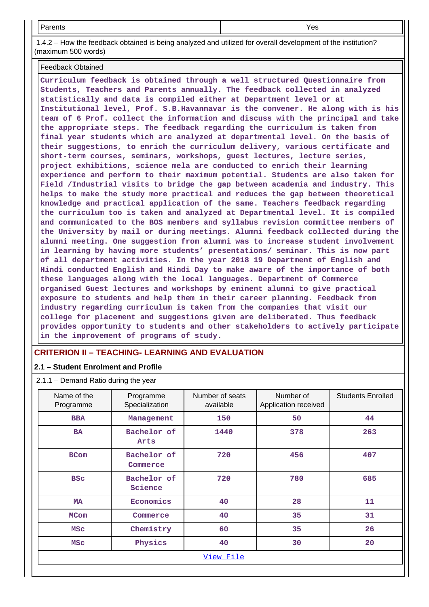Parents Yes

 1.4.2 – How the feedback obtained is being analyzed and utilized for overall development of the institution? (maximum 500 words)

Feedback Obtained

**Curriculum feedback is obtained through a well structured Questionnaire from Students, Teachers and Parents annually. The feedback collected in analyzed statistically and data is compiled either at Department level or at Institutional level, Prof. S.B.Havannavar is the convener. He along with is his team of 6 Prof. collect the information and discuss with the principal and take the appropriate steps. The feedback regarding the curriculum is taken from final year students which are analyzed at departmental level. On the basis of their suggestions, to enrich the curriculum delivery, various certificate and short-term courses, seminars, workshops, guest lectures, lecture series, project exhibitions, science mela are conducted to enrich their learning experience and perform to their maximum potential. Students are also taken for Field /Industrial visits to bridge the gap between academia and industry. This helps to make the study more practical and reduces the gap between theoretical knowledge and practical application of the same. Teachers feedback regarding the curriculum too is taken and analyzed at Departmental level. It is compiled and communicated to the BOS members and syllabus revision committee members of the University by mail or during meetings. Alumni feedback collected during the alumni meeting. One suggestion from alumni was to increase student involvement in learning by having more students' presentations/ seminar. This is now part of all department activities. In the year 2018 19 Department of English and Hindi conducted English and Hindi Day to make aware of the importance of both these languages along with the local languages. Department of Commerce organised Guest lectures and workshops by eminent alumni to give practical exposure to students and help them in their career planning. Feedback from industry regarding curriculum is taken from the companies that visit our college for placement and suggestions given are deliberated. Thus feedback provides opportunity to students and other stakeholders to actively participate in the improvement of programs of study.**

#### **CRITERION II – TEACHING- LEARNING AND EVALUATION**

#### **2.1 – Student Enrolment and Profile**

2.1.1 – Demand Ratio during the year

| Name of the<br>Programme | Programme<br>Specialization | Number of seats<br>available | Number of<br>Application received | <b>Students Enrolled</b> |  |  |
|--------------------------|-----------------------------|------------------------------|-----------------------------------|--------------------------|--|--|
| <b>BBA</b>               | Management                  | 150                          | 50                                | 44                       |  |  |
| <b>BA</b>                | Bachelor of<br>Arts         | 1440                         | 378                               | 263                      |  |  |
| <b>BCom</b>              | Bachelor of<br>Commerce     | 720                          | 456                               | 407                      |  |  |
| <b>BSC</b>               | Bachelor of<br>Science      | 720                          | 780                               | 685                      |  |  |
| <b>MA</b>                | Economics                   | 40                           | 28                                | 11                       |  |  |
| <b>MCom</b>              | Commerce                    | 40                           | 35                                | 31                       |  |  |
| <b>MSC</b>               | Chemistry                   | 60                           | 35                                | 26                       |  |  |
| <b>MSC</b>               | Physics                     | 40                           | 30                                | 20                       |  |  |
|                          | View File                   |                              |                                   |                          |  |  |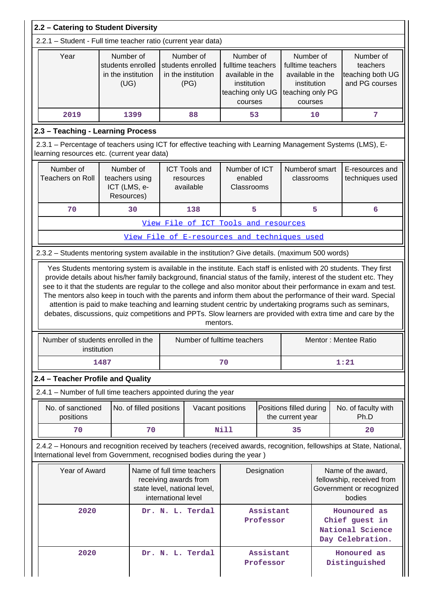| 2.2 - Catering to Student Diversity                                                                                                                       |                                                                                                                             |                         |                  |                                                              |                                                                                                  |                        |                                                                                                  |                      |                                                                                                                                                                                                                                                                                                                                           |  |
|-----------------------------------------------------------------------------------------------------------------------------------------------------------|-----------------------------------------------------------------------------------------------------------------------------|-------------------------|------------------|--------------------------------------------------------------|--------------------------------------------------------------------------------------------------|------------------------|--------------------------------------------------------------------------------------------------|----------------------|-------------------------------------------------------------------------------------------------------------------------------------------------------------------------------------------------------------------------------------------------------------------------------------------------------------------------------------------|--|
| 2.2.1 - Student - Full time teacher ratio (current year data)                                                                                             |                                                                                                                             |                         |                  |                                                              |                                                                                                  |                        |                                                                                                  |                      |                                                                                                                                                                                                                                                                                                                                           |  |
| Year                                                                                                                                                      | Number of<br>students enrolled<br>in the institution<br>(UG)                                                                |                         |                  | Number of<br>students enrolled<br>in the institution<br>(PG) | Number of<br>fulltime teachers<br>available in the<br>institution<br>teaching only UG<br>courses |                        | Number of<br>fulltime teachers<br>available in the<br>institution<br>teaching only PG<br>courses |                      | Number of<br>teachers<br>teaching both UG<br>and PG courses                                                                                                                                                                                                                                                                               |  |
| 2019                                                                                                                                                      |                                                                                                                             | 1399                    |                  | 88                                                           | 53                                                                                               |                        |                                                                                                  | 10                   | 7                                                                                                                                                                                                                                                                                                                                         |  |
| 2.3 - Teaching - Learning Process                                                                                                                         |                                                                                                                             |                         |                  |                                                              |                                                                                                  |                        |                                                                                                  |                      |                                                                                                                                                                                                                                                                                                                                           |  |
| 2.3.1 - Percentage of teachers using ICT for effective teaching with Learning Management Systems (LMS), E-<br>learning resources etc. (current year data) |                                                                                                                             |                         |                  |                                                              |                                                                                                  |                        |                                                                                                  |                      |                                                                                                                                                                                                                                                                                                                                           |  |
| Number of<br><b>Teachers on Roll</b>                                                                                                                      | Number of<br>teachers using<br>ICT (LMS, e-<br>Resources)                                                                   |                         |                  | <b>ICT Tools and</b><br>resources<br>available               | Number of ICT<br>enabled<br>Classrooms                                                           |                        | Numberof smart<br>classrooms                                                                     |                      | E-resources and<br>techniques used                                                                                                                                                                                                                                                                                                        |  |
| 70                                                                                                                                                        |                                                                                                                             | 30                      |                  | 138                                                          | 5                                                                                                |                        |                                                                                                  | 5                    | 6                                                                                                                                                                                                                                                                                                                                         |  |
|                                                                                                                                                           |                                                                                                                             |                         |                  | View File of ICT Tools and resources                         |                                                                                                  |                        |                                                                                                  |                      |                                                                                                                                                                                                                                                                                                                                           |  |
| View File of E-resources and techniques used                                                                                                              |                                                                                                                             |                         |                  |                                                              |                                                                                                  |                        |                                                                                                  |                      |                                                                                                                                                                                                                                                                                                                                           |  |
| 2.3.2 - Students mentoring system available in the institution? Give details. (maximum 500 words)                                                         |                                                                                                                             |                         |                  |                                                              |                                                                                                  |                        |                                                                                                  |                      |                                                                                                                                                                                                                                                                                                                                           |  |
|                                                                                                                                                           |                                                                                                                             |                         |                  | mentors.                                                     |                                                                                                  |                        |                                                                                                  |                      | The mentors also keep in touch with the parents and inform them about the performance of their ward. Special<br>attention is paid to make teaching and learning student centric by undertaking programs such as seminars,<br>debates, discussions, quiz competitions and PPTs. Slow learners are provided with extra time and care by the |  |
| Number of students enrolled in the                                                                                                                        | institution                                                                                                                 |                         |                  |                                                              | Number of fulltime teachers                                                                      |                        |                                                                                                  | Mentor: Mentee Ratio |                                                                                                                                                                                                                                                                                                                                           |  |
|                                                                                                                                                           | 1487                                                                                                                        |                         |                  |                                                              | 70                                                                                               |                        |                                                                                                  |                      | 1:21                                                                                                                                                                                                                                                                                                                                      |  |
| 2.4 - Teacher Profile and Quality                                                                                                                         |                                                                                                                             |                         |                  |                                                              |                                                                                                  |                        |                                                                                                  |                      |                                                                                                                                                                                                                                                                                                                                           |  |
| 2.4.1 – Number of full time teachers appointed during the year                                                                                            |                                                                                                                             |                         |                  |                                                              |                                                                                                  |                        |                                                                                                  |                      |                                                                                                                                                                                                                                                                                                                                           |  |
| No. of sanctioned<br>positions                                                                                                                            |                                                                                                                             | No. of filled positions |                  | Vacant positions                                             |                                                                                                  |                        | Positions filled during<br>the current year                                                      |                      | No. of faculty with<br>Ph.D                                                                                                                                                                                                                                                                                                               |  |
| 70                                                                                                                                                        |                                                                                                                             | 70                      |                  |                                                              | <b>Nill</b>                                                                                      |                        | 35                                                                                               |                      | 20                                                                                                                                                                                                                                                                                                                                        |  |
| International level from Government, recognised bodies during the year )                                                                                  |                                                                                                                             |                         |                  |                                                              |                                                                                                  |                        |                                                                                                  |                      | 2.4.2 - Honours and recognition received by teachers (received awards, recognition, fellowships at State, National,                                                                                                                                                                                                                       |  |
|                                                                                                                                                           | Year of Award<br>Name of full time teachers<br>receiving awards from<br>state level, national level,<br>international level |                         |                  |                                                              |                                                                                                  | Designation            |                                                                                                  |                      | Name of the award,<br>fellowship, received from<br>Government or recognized<br>bodies                                                                                                                                                                                                                                                     |  |
| 2020                                                                                                                                                      |                                                                                                                             |                         | Dr. N. L. Terdal |                                                              | Assistant<br>Professor                                                                           |                        |                                                                                                  |                      | Hounoured as<br>Chief guest in<br>National Science<br>Day Celebration.                                                                                                                                                                                                                                                                    |  |
| 2020                                                                                                                                                      |                                                                                                                             |                         |                  | Dr. N. L. Terdal                                             |                                                                                                  | Assistant<br>Professor |                                                                                                  |                      | Honoured as<br>Distinguished                                                                                                                                                                                                                                                                                                              |  |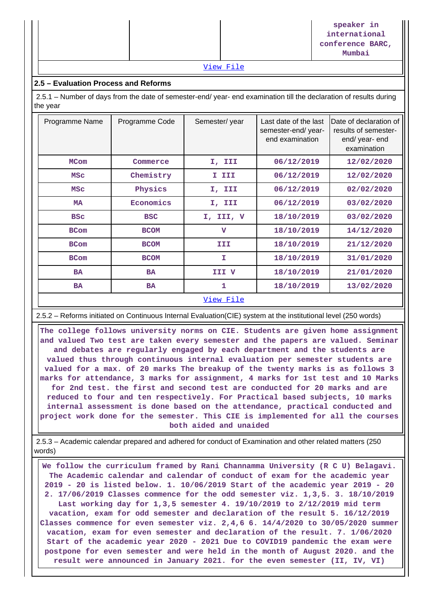|  |                                                                                                                 | speaker in<br>international<br>conference BARC,<br>Mumbai |
|--|-----------------------------------------------------------------------------------------------------------------|-----------------------------------------------------------|
|  | the contract of the contract of the contract of the contract of the contract of the contract of the contract of |                                                           |

#### [View File](https://assessmentonline.naac.gov.in/public/Postacc/Honours_recieved/5930_Honours_recieved_1631091799.xlsx)

#### **2.5 – Evaluation Process and Reforms**

 2.5.1 – Number of days from the date of semester-end/ year- end examination till the declaration of results during the year

| Programme Name | Programme Code | Semester/year | Last date of the last<br>semester-end/year-<br>end examination | Date of declaration of<br>results of semester-<br>end/ year- end<br>examination |
|----------------|----------------|---------------|----------------------------------------------------------------|---------------------------------------------------------------------------------|
| <b>MCom</b>    | Commerce       | I, III        | 06/12/2019                                                     | 12/02/2020                                                                      |
| <b>MSC</b>     | Chemistry      | I III         | 06/12/2019                                                     | 12/02/2020                                                                      |
| <b>MSC</b>     | Physics        | I, III        | 06/12/2019                                                     | 02/02/2020                                                                      |
| MA             | Economics      | I, III        | 06/12/2019                                                     | 03/02/2020                                                                      |
| <b>BSC</b>     | <b>BSC</b>     | I, III, V     | 18/10/2019                                                     | 03/02/2020                                                                      |
| <b>BCom</b>    | <b>BCOM</b>    | $\mathbf v$   | 18/10/2019                                                     | 14/12/2020                                                                      |
| <b>BCom</b>    | <b>BCOM</b>    | III           | 18/10/2019                                                     | 21/12/2020                                                                      |
| <b>BCom</b>    | <b>BCOM</b>    | r             | 18/10/2019                                                     | 31/01/2020                                                                      |
| <b>BA</b>      | <b>BA</b>      | III V         | 18/10/2019                                                     | 21/01/2020                                                                      |
| <b>BA</b>      | <b>BA</b>      | 1             | 18/10/2019                                                     | 13/02/2020                                                                      |
|                |                |               |                                                                |                                                                                 |

#### [View File](https://assessmentonline.naac.gov.in/public/Postacc/Evaluation/5930_Evaluation_1629972514.xlsx)

2.5.2 – Reforms initiated on Continuous Internal Evaluation(CIE) system at the institutional level (250 words)

 **The college follows university norms on CIE. Students are given home assignment and valued Two test are taken every semester and the papers are valued. Seminar and debates are regularly engaged by each department and the students are valued thus through continuous internal evaluation per semester students are valued for a max. of 20 marks The breakup of the twenty marks is as follows 3 marks for attendance, 3 marks for assignment, 4 marks for 1st test and 10 Marks for 2nd test. the first and second test are conducted for 20 marks and are reduced to four and ten respectively. For Practical based subjects, 10 marks internal assessment is done based on the attendance, practical conducted and project work done for the semester. This CIE is implemented for all the courses both aided and unaided**

 2.5.3 – Academic calendar prepared and adhered for conduct of Examination and other related matters (250 words)

 **We follow the curriculum framed by Rani Channamma University (R C U) Belagavi. The Academic calendar and calendar of conduct of exam for the academic year 2019 - 20 is listed below. 1. 10/06/2019 Start of the academic year 2019 - 20 2. 17/06/2019 Classes commence for the odd semester viz. 1,3,5. 3. 18/10/2019 Last working day for 1,3,5 semester 4. 19/10/2019 to 2/12/2019 mid term vacation, exam for odd semester and declaration of the result 5. 16/12/2019 Classes commence for even semester viz. 2,4,6 6. 14/4/2020 to 30/05/2020 summer vacation, exam for even semester and declaration of the result. 7. 1/06/2020 Start of the academic year 2020 - 2021 Due to COVID19 pandemic the exam were postpone for even semester and were held in the month of August 2020. and the result were announced in January 2021. for the even semester (II, IV, VI)**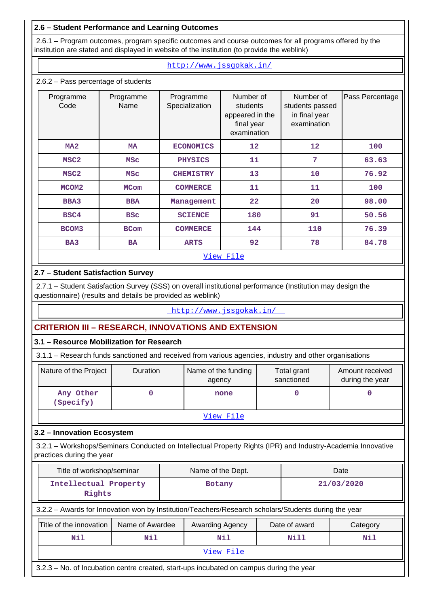#### **2.6 – Student Performance and Learning Outcomes**

 2.6.1 – Program outcomes, program specific outcomes and course outcomes for all programs offered by the institution are stated and displayed in website of the institution (to provide the weblink)

#### <http://www.jssgokak.in/>

#### 2.6.2 – Pass percentage of students

| Programme<br>Code | Programme<br>Name | Programme<br>Specialization | Number of<br>students<br>appeared in the<br>final year<br>examination | Number of<br>students passed<br>in final year<br>examination | Pass Percentage |
|-------------------|-------------------|-----------------------------|-----------------------------------------------------------------------|--------------------------------------------------------------|-----------------|
| MA2               | <b>MA</b>         | <b>ECONOMICS</b>            | 12                                                                    | 12                                                           | 100             |
| MSC <sub>2</sub>  | <b>MSC</b>        | <b>PHYSICS</b>              | 11                                                                    | $7\phantom{.0}$                                              | 63.63           |
| MSC <sub>2</sub>  | <b>MSC</b>        | <b>CHEMISTRY</b>            | 13                                                                    | 10                                                           | 76.92           |
| MCOM <sub>2</sub> | MCom              | <b>COMMERCE</b>             | 11                                                                    | 11                                                           | 100             |
| <b>BBA3</b>       | <b>BBA</b>        | Management                  | 22                                                                    | 20                                                           | 98.00           |
| BSC4              | <b>BSC</b>        | <b>SCIENCE</b>              | 180                                                                   | 91                                                           | 50.56           |
| BCOM3             | <b>BCom</b>       | <b>COMMERCE</b>             | 144                                                                   | 110                                                          | 76.39           |
| BA3               | <b>BA</b>         | <b>ARTS</b>                 | 92                                                                    | 78                                                           | 84.78           |
|                   |                   |                             | View File                                                             |                                                              |                 |

### **2.7 – Student Satisfaction Survey**

 2.7.1 – Student Satisfaction Survey (SSS) on overall institutional performance (Institution may design the questionnaire) (results and details be provided as weblink)

#### <http://www.jssgokak.in/>

## **CRITERION III – RESEARCH, INNOVATIONS AND EXTENSION**

#### **3.1 – Resource Mobilization for Research**

3.1.1 – Research funds sanctioned and received from various agencies, industry and other organisations

| Nature of the Project  | <b>Duration</b> | Name of the funding<br>agency | Total grant<br>sanctioned | Amount received<br>during the year |  |  |  |  |  |  |
|------------------------|-----------------|-------------------------------|---------------------------|------------------------------------|--|--|--|--|--|--|
| Any Other<br>(Specify) |                 | none                          |                           |                                    |  |  |  |  |  |  |
|                        | View File       |                               |                           |                                    |  |  |  |  |  |  |

#### **3.2 – Innovation Ecosystem**

 3.2.1 – Workshops/Seminars Conducted on Intellectual Property Rights (IPR) and Industry-Academia Innovative practices during the year

| Title of workshop/seminar                                                                            |                 |  | Name of the Dept.      |             | Date          |          |  |  |  |
|------------------------------------------------------------------------------------------------------|-----------------|--|------------------------|-------------|---------------|----------|--|--|--|
| Intellectual Property<br>Rights                                                                      |                 |  | 21/03/2020             |             |               |          |  |  |  |
| 3.2.2 - Awards for Innovation won by Institution/Teachers/Research scholars/Students during the year |                 |  |                        |             |               |          |  |  |  |
| Title of the innovation                                                                              | Name of Awardee |  | <b>Awarding Agency</b> |             | Date of award | Category |  |  |  |
| Nil                                                                                                  | Nil             |  | Nil                    | Nill<br>Nil |               |          |  |  |  |
| View File                                                                                            |                 |  |                        |             |               |          |  |  |  |
|                                                                                                      |                 |  |                        |             |               |          |  |  |  |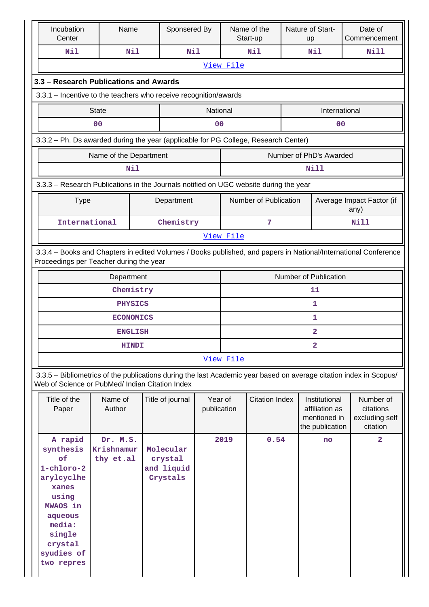| Incubation<br>Center                                                                                                                                                  | Name                                | Sponsered By                                   |                        |                         | Name of the<br>Start-up |                       | Nature of Start-<br>up                                             |                                   | Date of<br>Commencement                              |
|-----------------------------------------------------------------------------------------------------------------------------------------------------------------------|-------------------------------------|------------------------------------------------|------------------------|-------------------------|-------------------------|-----------------------|--------------------------------------------------------------------|-----------------------------------|------------------------------------------------------|
| Nil                                                                                                                                                                   | Nil                                 | Nil                                            |                        |                         | Nil                     |                       | Nil                                                                |                                   | Nill                                                 |
|                                                                                                                                                                       |                                     |                                                |                        | View File               |                         |                       |                                                                    |                                   |                                                      |
| 3.3 - Research Publications and Awards                                                                                                                                |                                     |                                                |                        |                         |                         |                       |                                                                    |                                   |                                                      |
| 3.3.1 - Incentive to the teachers who receive recognition/awards                                                                                                      |                                     |                                                |                        |                         |                         |                       |                                                                    |                                   |                                                      |
|                                                                                                                                                                       | <b>State</b>                        |                                                | National               | International           |                         |                       |                                                                    |                                   |                                                      |
|                                                                                                                                                                       | 0 <sub>0</sub>                      |                                                | 0 <sub>0</sub>         |                         |                         |                       | 0 <sub>0</sub>                                                     |                                   |                                                      |
| 3.3.2 - Ph. Ds awarded during the year (applicable for PG College, Research Center)                                                                                   |                                     |                                                |                        |                         |                         |                       |                                                                    |                                   |                                                      |
|                                                                                                                                                                       | Name of the Department              |                                                |                        |                         |                         |                       | Number of PhD's Awarded                                            |                                   |                                                      |
|                                                                                                                                                                       | Nil                                 |                                                |                        |                         |                         |                       | Nill                                                               |                                   |                                                      |
| 3.3.3 - Research Publications in the Journals notified on UGC website during the year                                                                                 |                                     |                                                |                        |                         |                         |                       |                                                                    |                                   |                                                      |
| <b>Type</b>                                                                                                                                                           |                                     | Department                                     |                        | Number of Publication   |                         |                       |                                                                    | Average Impact Factor (if<br>any) |                                                      |
| International                                                                                                                                                         |                                     | Chemistry                                      |                        | 7                       |                         |                       |                                                                    |                                   | <b>Nill</b>                                          |
|                                                                                                                                                                       |                                     |                                                |                        | View File               |                         |                       |                                                                    |                                   |                                                      |
| 3.3.4 - Books and Chapters in edited Volumes / Books published, and papers in National/International Conference<br>Proceedings per Teacher during the year            |                                     |                                                |                        |                         |                         |                       |                                                                    |                                   |                                                      |
|                                                                                                                                                                       | Department                          |                                                |                        |                         |                         | Number of Publication |                                                                    |                                   |                                                      |
|                                                                                                                                                                       | Chemistry                           |                                                |                        |                         |                         |                       | 11                                                                 |                                   |                                                      |
|                                                                                                                                                                       | <b>PHYSICS</b>                      |                                                |                        |                         |                         |                       | 1                                                                  |                                   |                                                      |
|                                                                                                                                                                       | <b>ECONOMICS</b>                    |                                                |                        |                         |                         |                       | $\mathbf 1$                                                        |                                   |                                                      |
|                                                                                                                                                                       | <b>ENGLISH</b>                      |                                                |                        |                         |                         |                       | $\overline{\mathbf{2}}$                                            |                                   |                                                      |
|                                                                                                                                                                       | HINDI                               |                                                |                        | $\overline{\mathbf{2}}$ |                         |                       |                                                                    |                                   |                                                      |
|                                                                                                                                                                       |                                     |                                                |                        | View File               |                         |                       |                                                                    |                                   |                                                      |
| 3.3.5 - Bibliometrics of the publications during the last Academic year based on average citation index in Scopus/<br>Web of Science or PubMed/ Indian Citation Index |                                     |                                                |                        |                         |                         |                       |                                                                    |                                   |                                                      |
| Title of the<br>Paper                                                                                                                                                 | Name of<br>Author                   | Title of journal                               | Year of<br>publication |                         | <b>Citation Index</b>   |                       | Institutional<br>affiliation as<br>mentioned in<br>the publication |                                   | Number of<br>citations<br>excluding self<br>citation |
| A rapid<br>synthesis<br>of<br>$1$ -chloro-2<br>arylcyclhe<br>xanes<br>using<br>MWAOS in<br>aqueous<br>media:<br>single<br>crystal<br>syudies of<br>two repres         | Dr. M.S.<br>Krishnamur<br>thy et.al | Molecular<br>crystal<br>and liquid<br>Crystals |                        | 2019                    | 0.54                    |                       | no                                                                 |                                   | $\overline{2}$                                       |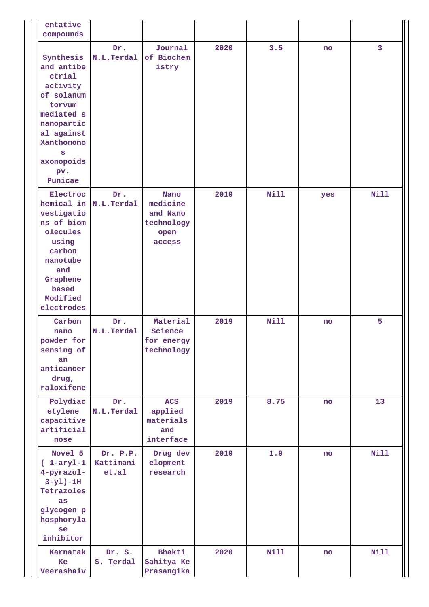| entative<br>compounds                                                                                                                                              |                                |                                                              |      |      |     |             |
|--------------------------------------------------------------------------------------------------------------------------------------------------------------------|--------------------------------|--------------------------------------------------------------|------|------|-----|-------------|
| Synthesis<br>and antibe<br>ctrial<br>activity<br>of solanum<br>torvum<br>mediated s<br>nanopartic<br>al against<br>Xanthomono<br>s<br>axonopoids<br>pv.<br>Punicae | Dr.<br>N.L.Terdal              | Journal<br>of Biochem<br>istry                               | 2020 | 3.5  | no  | 3           |
| Electroc<br>hemical in N.L. Terdal<br>vestigatio<br>ns of biom<br>olecules<br>using<br>carbon<br>nanotube<br>and<br>Graphene<br>based<br>Modified<br>electrodes    | Dr.                            | Nano<br>medicine<br>and Nano<br>technology<br>open<br>access | 2019 | Nill | yes | Nill        |
| Carbon<br>nano<br>powder for<br>sensing of<br>an<br>anticancer<br>drug,<br>raloxifene                                                                              | Dr.<br>N.L.Terdal              | Material<br>Science<br>for energy<br>technology              | 2019 | Nill | no  | 5           |
| Polydiac<br>etylene<br>capacitive<br>artificial<br>nose                                                                                                            | Dr.<br>N.L.Terdal              | <b>ACS</b><br>applied<br>materials<br>and<br>interface       | 2019 | 8.75 | no  | 13          |
| Novel 5<br>$(1-aryl-1)$<br>4-pyrazol-<br>$3-y1$ )-1H<br>Tetrazoles<br>as<br>glycogen p<br>hosphoryla<br>se<br>inhibitor                                            | Dr. P.P.<br>Kattimani<br>et.al | Drug dev<br>elopment<br>research                             | 2019 | 1.9  | no  | Nill        |
| Karnatak<br>Ke<br>Veerashaiv                                                                                                                                       | Dr. S.<br>S. Terdal            | Bhakti<br>Sahitya Ke<br>Prasangika                           | 2020 | Nill | no  | <b>Nill</b> |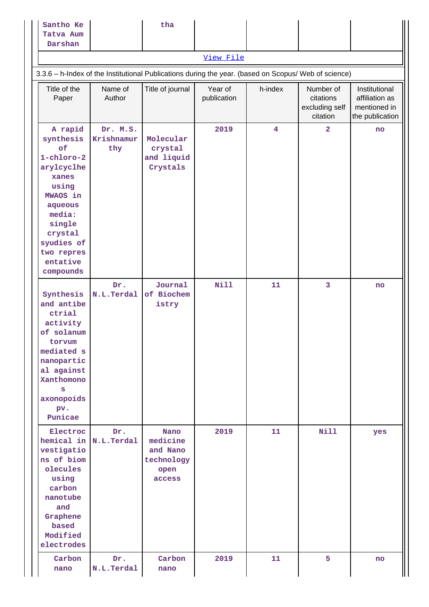| Santho Ke<br>Tatva Aum<br>Darshan                                                                                                                                                   |                               | tha                                                          |                        |                         |                                                      |                                                                    |
|-------------------------------------------------------------------------------------------------------------------------------------------------------------------------------------|-------------------------------|--------------------------------------------------------------|------------------------|-------------------------|------------------------------------------------------|--------------------------------------------------------------------|
|                                                                                                                                                                                     |                               |                                                              | View File              |                         |                                                      |                                                                    |
| 3.3.6 - h-Index of the Institutional Publications during the year. (based on Scopus/ Web of science)                                                                                |                               |                                                              |                        |                         |                                                      |                                                                    |
| Title of the<br>Paper                                                                                                                                                               | Name of<br>Author             | Title of journal                                             | Year of<br>publication | h-index                 | Number of<br>citations<br>excluding self<br>citation | Institutional<br>affiliation as<br>mentioned in<br>the publication |
| A rapid<br>synthesis<br>of<br>1-chloro-2<br>arylcyclhe<br>xanes<br>using<br>MWAOS in<br>aqueous<br>media:<br>single<br>crystal<br>syudies of<br>two repres<br>entative<br>compounds | Dr. M.S.<br>Krishnamur<br>thy | Molecular<br>crystal<br>and liquid<br>Crystals               | 2019                   | $\overline{\mathbf{4}}$ | $\overline{2}$                                       | no                                                                 |
| Synthesis<br>and antibe<br>ctrial<br>activity<br>of solanum<br>torvum<br>mediated s<br>nanopartic<br>al against<br>Xanthomono<br>s<br>axonopoids<br>pv.<br>Punicae                  | Dr.<br>N.L.Terdal             | Journal<br>of Biochem<br>istry                               | <b>Nill</b>            | 11                      | 3                                                    | no                                                                 |
| Electroc<br>hemical in N.L.Terdal<br>vestigatio<br>ns of biom<br>olecules<br>using<br>carbon<br>nanotube<br>and<br>Graphene<br>based<br>Modified<br>electrodes                      | Dr.                           | Nano<br>medicine<br>and Nano<br>technology<br>open<br>access | 2019                   | 11                      | <b>Nill</b>                                          | yes                                                                |
| Carbon<br>nano                                                                                                                                                                      | Dr.<br>N.L.Terdal             | Carbon<br>nano                                               | 2019                   | 11                      | 5                                                    | no                                                                 |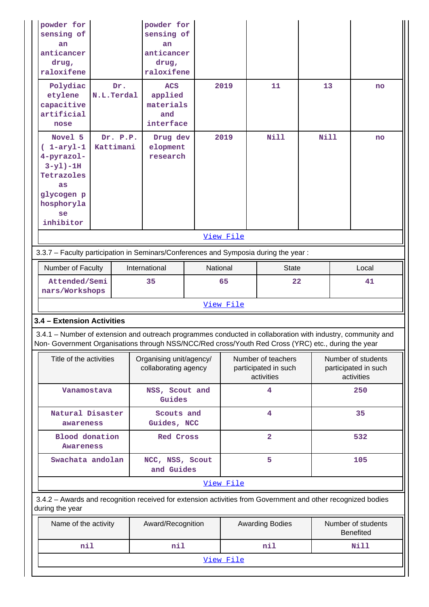| powder for<br>sensing of<br>an.<br>anticancer<br>drug,<br>raloxifene                                                                              |                   | powder for<br>sensing of<br>an<br>anticancer<br>drug,<br>raloxifene                                                                                                                                                |                                                                |                                                          |                        |                                                          |  |                                        |  |  |
|---------------------------------------------------------------------------------------------------------------------------------------------------|-------------------|--------------------------------------------------------------------------------------------------------------------------------------------------------------------------------------------------------------------|----------------------------------------------------------------|----------------------------------------------------------|------------------------|----------------------------------------------------------|--|----------------------------------------|--|--|
| Polydiac<br>etylene<br>capacitive<br>artificial<br>nose                                                                                           | Dr.<br>N.L.Terdal |                                                                                                                                                                                                                    | 2019<br><b>ACS</b><br>applied<br>materials<br>and<br>interface |                                                          | 11                     | 13                                                       |  | no                                     |  |  |
| Novel 5<br>Dr. P.P.<br>$(1-aryl-1)$<br>Kattimani<br>4-pyrazol-<br>$3-y1) - 1H$<br>Tetrazoles<br>as<br>glycogen p<br>hosphoryla<br>se<br>inhibitor |                   | Drug dev<br>elopment<br>research                                                                                                                                                                                   | 2019                                                           |                                                          | Nill                   | Nill                                                     |  | no                                     |  |  |
| View File<br>3.3.7 - Faculty participation in Seminars/Conferences and Symposia during the year:                                                  |                   |                                                                                                                                                                                                                    |                                                                |                                                          |                        |                                                          |  |                                        |  |  |
|                                                                                                                                                   |                   |                                                                                                                                                                                                                    |                                                                |                                                          |                        |                                                          |  |                                        |  |  |
| Number of Faculty                                                                                                                                 |                   | International                                                                                                                                                                                                      | National                                                       |                                                          | <b>State</b>           |                                                          |  | Local                                  |  |  |
| Attended/Semi<br>nars/Workshops                                                                                                                   |                   | 35                                                                                                                                                                                                                 |                                                                | 65                                                       | 22                     |                                                          |  | 41                                     |  |  |
| View File                                                                                                                                         |                   |                                                                                                                                                                                                                    |                                                                |                                                          |                        |                                                          |  |                                        |  |  |
| 3.4 - Extension Activities                                                                                                                        |                   |                                                                                                                                                                                                                    |                                                                |                                                          |                        |                                                          |  |                                        |  |  |
|                                                                                                                                                   |                   | 3.4.1 – Number of extension and outreach programmes conducted in collaboration with industry, community and<br>Non- Government Organisations through NSS/NCC/Red cross/Youth Red Cross (YRC) etc., during the year |                                                                |                                                          |                        |                                                          |  |                                        |  |  |
| Title of the activities                                                                                                                           |                   | Organising unit/agency/<br>collaborating agency                                                                                                                                                                    |                                                                | Number of teachers<br>participated in such<br>activities |                        | Number of students<br>participated in such<br>activities |  |                                        |  |  |
| Vanamostava                                                                                                                                       |                   | NSS, Scout and<br>Guides                                                                                                                                                                                           |                                                                |                                                          | 4                      |                                                          |  | 250                                    |  |  |
| Natural Disaster<br>awareness                                                                                                                     |                   | Scouts and<br>Guides, NCC                                                                                                                                                                                          |                                                                |                                                          | 4                      |                                                          |  | 35                                     |  |  |
| <b>Blood</b> donation<br>Awareness                                                                                                                |                   | <b>Red Cross</b>                                                                                                                                                                                                   |                                                                |                                                          | $\overline{2}$         |                                                          |  | 532                                    |  |  |
| Swachata andolan                                                                                                                                  |                   | NCC, NSS, Scout<br>and Guides                                                                                                                                                                                      |                                                                |                                                          | 5                      |                                                          |  | 105                                    |  |  |
|                                                                                                                                                   |                   |                                                                                                                                                                                                                    |                                                                | View File                                                |                        |                                                          |  |                                        |  |  |
| during the year                                                                                                                                   |                   | 3.4.2 - Awards and recognition received for extension activities from Government and other recognized bodies                                                                                                       |                                                                |                                                          |                        |                                                          |  |                                        |  |  |
| Name of the activity                                                                                                                              |                   | Award/Recognition                                                                                                                                                                                                  |                                                                |                                                          | <b>Awarding Bodies</b> |                                                          |  | Number of students<br><b>Benefited</b> |  |  |
| nil                                                                                                                                               |                   | nil                                                                                                                                                                                                                |                                                                |                                                          | nil                    |                                                          |  | Nill                                   |  |  |
| View File                                                                                                                                         |                   |                                                                                                                                                                                                                    |                                                                |                                                          |                        |                                                          |  |                                        |  |  |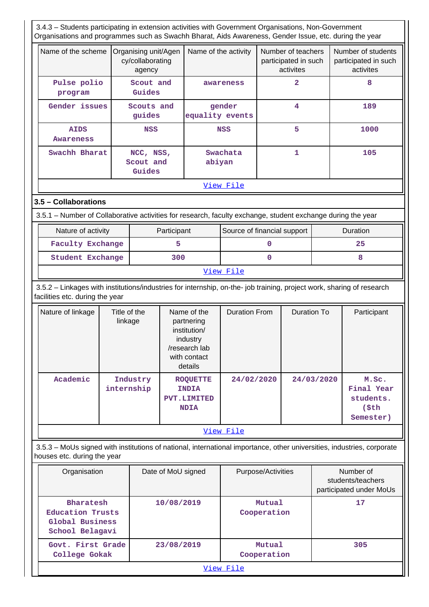3.4.3 – Students participating in extension activities with Government Organisations, Non-Government

| Organisations and programmes such as Swachh Bharat, Aids Awareness, Gender Issue, etc. during the year                                                   |                         |                                                    |     |                                                                                                                           |                         |             |                                                         |            |                                                         |
|----------------------------------------------------------------------------------------------------------------------------------------------------------|-------------------------|----------------------------------------------------|-----|---------------------------------------------------------------------------------------------------------------------------|-------------------------|-------------|---------------------------------------------------------|------------|---------------------------------------------------------|
| Name of the scheme                                                                                                                                       |                         | Organising unit/Agen<br>cy/collaborating<br>agency |     | Name of the activity                                                                                                      |                         |             | Number of teachers<br>participated in such<br>activites |            | Number of students<br>participated in such<br>activites |
| Pulse polio<br>program                                                                                                                                   |                         | Scout and<br>Guides                                |     |                                                                                                                           | awareness               |             | $\overline{2}$                                          |            | 8                                                       |
| Gender issues                                                                                                                                            |                         | Scouts and<br>guides                               |     | equality events                                                                                                           | gender                  |             | 4                                                       |            | 189                                                     |
| <b>AIDS</b><br>Awareness                                                                                                                                 |                         | <b>NSS</b>                                         |     |                                                                                                                           | 5<br><b>NSS</b>         |             |                                                         | 1000       |                                                         |
| Swachh Bharat                                                                                                                                            |                         | NCC, NSS,<br>Scout and<br>Guides                   |     |                                                                                                                           | Swachata<br>1<br>abiyan |             |                                                         | 105        |                                                         |
|                                                                                                                                                          |                         |                                                    |     |                                                                                                                           | View File               |             |                                                         |            |                                                         |
| 3.5 - Collaborations                                                                                                                                     |                         |                                                    |     |                                                                                                                           |                         |             |                                                         |            |                                                         |
| 3.5.1 – Number of Collaborative activities for research, faculty exchange, student exchange during the year                                              |                         |                                                    |     |                                                                                                                           |                         |             |                                                         |            |                                                         |
| Nature of activity<br>Participant<br>Source of financial support                                                                                         |                         |                                                    |     |                                                                                                                           |                         |             |                                                         |            | Duration                                                |
| <b>Faculty Exchange</b>                                                                                                                                  |                         |                                                    | 5   |                                                                                                                           |                         | $\mathbf 0$ |                                                         |            | 25                                                      |
| Student Exchange                                                                                                                                         |                         |                                                    | 300 | $\mathbf{0}$                                                                                                              |                         |             |                                                         |            | 8                                                       |
|                                                                                                                                                          |                         |                                                    |     |                                                                                                                           | View File               |             |                                                         |            |                                                         |
| 3.5.2 - Linkages with institutions/industries for internship, on-the- job training, project work, sharing of research<br>facilities etc. during the year |                         |                                                    |     |                                                                                                                           |                         |             |                                                         |            |                                                         |
| Nature of linkage                                                                                                                                        | Title of the<br>linkage |                                                    |     | <b>Duration From</b><br>Name of the<br>partnering<br>institution/<br>industry<br>/research lab<br>with contact<br>details |                         |             | <b>Duration To</b>                                      |            | Participant                                             |
| Academic                                                                                                                                                 | internship              | Industry                                           |     | <b>ROQUETTE</b><br><b>INDIA</b><br>PVT.LIMITED<br><b>NDIA</b>                                                             | 24/02/2020              |             |                                                         | 24/03/2020 | M.Sc.<br>Final Year<br>students.<br>\$th\$<br>Semester) |

 3.5.3 – MoUs signed with institutions of national, international importance, other universities, industries, corporate houses etc. during the year

[View File](https://assessmentonline.naac.gov.in/public/Postacc/Linkages/5930_Linkages_1617012934.xlsx)

| Organisation                                                        | Date of MoU signed | Purpose/Activities    | Number of<br>students/teachers<br>participated under MoUs |  |  |  |  |  |  |
|---------------------------------------------------------------------|--------------------|-----------------------|-----------------------------------------------------------|--|--|--|--|--|--|
| Bharatesh<br>Education Trusts<br>Global Business<br>School Belagavi | 10/08/2019         | Mutual<br>Cooperation | 17                                                        |  |  |  |  |  |  |
| Govt. First Grade<br>College Gokak                                  | 23/08/2019         | Mutual<br>Cooperation | 305                                                       |  |  |  |  |  |  |
|                                                                     | View File          |                       |                                                           |  |  |  |  |  |  |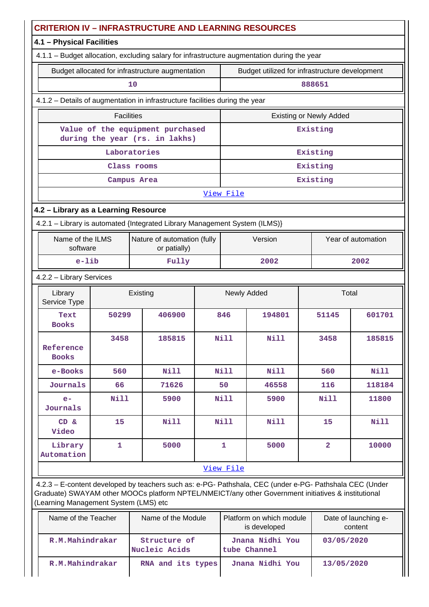| <b>CRITERION IV - INFRASTRUCTURE AND LEARNING RESOURCES</b> |                                                  |                                                                                                                                                                                                                |  |                      |                                                |                                |                                 |  |
|-------------------------------------------------------------|--------------------------------------------------|----------------------------------------------------------------------------------------------------------------------------------------------------------------------------------------------------------------|--|----------------------|------------------------------------------------|--------------------------------|---------------------------------|--|
|                                                             | 4.1 - Physical Facilities                        |                                                                                                                                                                                                                |  |                      |                                                |                                |                                 |  |
|                                                             |                                                  | 4.1.1 - Budget allocation, excluding salary for infrastructure augmentation during the year                                                                                                                    |  |                      |                                                |                                |                                 |  |
|                                                             | Budget allocated for infrastructure augmentation |                                                                                                                                                                                                                |  |                      | Budget utilized for infrastructure development |                                |                                 |  |
|                                                             | 10                                               |                                                                                                                                                                                                                |  |                      |                                                | 888651                         |                                 |  |
|                                                             |                                                  | 4.1.2 - Details of augmentation in infrastructure facilities during the year                                                                                                                                   |  |                      |                                                |                                |                                 |  |
|                                                             | <b>Facilities</b>                                |                                                                                                                                                                                                                |  |                      |                                                | <b>Existing or Newly Added</b> |                                 |  |
|                                                             |                                                  | Value of the equipment purchased<br>during the year (rs. in lakhs)                                                                                                                                             |  |                      |                                                | Existing                       |                                 |  |
|                                                             |                                                  | Laboratories                                                                                                                                                                                                   |  |                      |                                                | Existing                       |                                 |  |
|                                                             |                                                  | Class rooms                                                                                                                                                                                                    |  |                      |                                                | Existing                       |                                 |  |
|                                                             |                                                  | Campus Area                                                                                                                                                                                                    |  |                      |                                                | Existing                       |                                 |  |
|                                                             |                                                  |                                                                                                                                                                                                                |  | View File            |                                                |                                |                                 |  |
| 4.2 - Library as a Learning Resource                        |                                                  |                                                                                                                                                                                                                |  |                      |                                                |                                |                                 |  |
|                                                             |                                                  | 4.2.1 - Library is automated {Integrated Library Management System (ILMS)}                                                                                                                                     |  |                      |                                                |                                |                                 |  |
| Name of the ILMS<br>software                                |                                                  | Nature of automation (fully<br>or patially)                                                                                                                                                                    |  | Version              |                                                |                                | Year of automation              |  |
| $e$ -lib                                                    |                                                  | Fully                                                                                                                                                                                                          |  |                      | 2002                                           |                                | 2002                            |  |
| 4.2.2 - Library Services                                    |                                                  |                                                                                                                                                                                                                |  |                      |                                                |                                |                                 |  |
| Library<br>Service Type                                     |                                                  | Existing                                                                                                                                                                                                       |  | Total<br>Newly Added |                                                |                                |                                 |  |
| Text<br><b>Books</b>                                        | 50299                                            | 406900                                                                                                                                                                                                         |  | 846                  | 194801                                         | 51145                          | 601701                          |  |
| Reference<br><b>Books</b>                                   | 3458                                             | 185815                                                                                                                                                                                                         |  | Nill                 | Nill                                           | 3458                           | 185815                          |  |
| e-Books                                                     | 560                                              | <b>Nill</b>                                                                                                                                                                                                    |  | Nill                 | <b>Nill</b>                                    | 560                            | <b>Nill</b>                     |  |
| Journals                                                    | 66                                               | 71626                                                                                                                                                                                                          |  | 50                   | 46558                                          | 116                            | 118184                          |  |
| $e-$<br>Journals                                            | <b>Nill</b>                                      | 5900                                                                                                                                                                                                           |  | Nill                 | 5900                                           | Nill                           | 11800                           |  |
| CD &<br>Video                                               | 15                                               | <b>Nill</b>                                                                                                                                                                                                    |  | <b>Nill</b>          | Nill                                           | 15                             | <b>Nill</b>                     |  |
| Library<br>Automation                                       | 1                                                | 5000                                                                                                                                                                                                           |  | $\mathbf{1}$         | 5000                                           | $\overline{\mathbf{2}}$        | 10000                           |  |
|                                                             |                                                  |                                                                                                                                                                                                                |  | View File            |                                                |                                |                                 |  |
| (Learning Management System (LMS) etc                       |                                                  | 4.2.3 - E-content developed by teachers such as: e-PG- Pathshala, CEC (under e-PG- Pathshala CEC (Under<br>Graduate) SWAYAM other MOOCs platform NPTEL/NMEICT/any other Government initiatives & institutional |  |                      |                                                |                                |                                 |  |
| Name of the Teacher                                         |                                                  | Name of the Module                                                                                                                                                                                             |  |                      | Platform on which module<br>is developed       |                                | Date of launching e-<br>content |  |
| R.M.Mahindrakar                                             |                                                  | Structure of<br>Nucleic Acids                                                                                                                                                                                  |  |                      | Jnana Nidhi You<br>tube Channel                | 03/05/2020                     |                                 |  |

 **R.M.Mahindrakar RNA and its types Jnana Nidhi You 13/05/2020**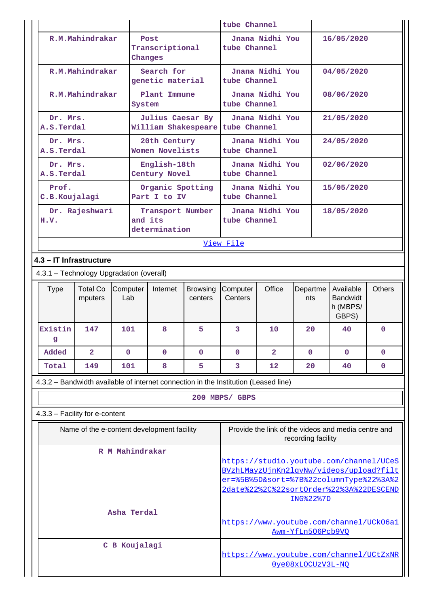|                                                                                     |                                                   |                                   | tube Channel               |                                                                                    |                 |                                                                                    |                                                   |               |  |
|-------------------------------------------------------------------------------------|---------------------------------------------------|-----------------------------------|----------------------------|------------------------------------------------------------------------------------|-----------------|------------------------------------------------------------------------------------|---------------------------------------------------|---------------|--|
| R.M.Mahindrakar                                                                     |                                                   | Post                              |                            |                                                                                    | Jnana Nidhi You |                                                                                    | 16/05/2020                                        |               |  |
|                                                                                     | Transcriptional<br>Changes                        |                                   |                            | tube Channel                                                                       |                 |                                                                                    |                                                   |               |  |
|                                                                                     | R.M.Mahindrakar<br>Search for<br>genetic material |                                   |                            | Jnana Nidhi You<br>04/05/2020<br>tube Channel                                      |                 |                                                                                    |                                                   |               |  |
| R.M.Mahindrakar                                                                     | System                                            | Plant Immune                      |                            | tube Channel                                                                       | Jnana Nidhi You |                                                                                    | 08/06/2020                                        |               |  |
| Dr. Mrs.<br>A.S.Terdal                                                              |                                                   | Julius Caesar By                  |                            | William Shakespeare tube Channel                                                   | Jnana Nidhi You |                                                                                    | 21/05/2020                                        |               |  |
| Dr. Mrs.<br>A.S.Terdal                                                              |                                                   | 20th Century<br>Women Novelists   |                            | tube Channel                                                                       | Jnana Nidhi You |                                                                                    | 24/05/2020                                        |               |  |
| Dr. Mrs.<br>A.S.Terdal                                                              |                                                   | English-18th<br>Century Novel     |                            | tube Channel                                                                       | Jnana Nidhi You |                                                                                    | 02/06/2020                                        |               |  |
| Prof.<br>C.B.Koujalagi                                                              |                                                   | Organic Spotting<br>Part I to IV  |                            | tube Channel                                                                       | Jnana Nidhi You |                                                                                    | 15/05/2020                                        |               |  |
| Dr. Rajeshwari<br>H.V.                                                              | and its                                           | Transport Number<br>determination |                            | tube Channel                                                                       | Jnana Nidhi You |                                                                                    | 18/05/2020                                        |               |  |
|                                                                                     |                                                   |                                   |                            | View File                                                                          |                 |                                                                                    |                                                   |               |  |
| 4.3 - IT Infrastructure                                                             |                                                   |                                   |                            |                                                                                    |                 |                                                                                    |                                                   |               |  |
|                                                                                     | 4.3.1 - Technology Upgradation (overall)          |                                   |                            |                                                                                    |                 |                                                                                    |                                                   |               |  |
| <b>Total Co</b><br><b>Type</b><br>mputers                                           | Computer<br>Lab                                   | Internet                          | <b>Browsing</b><br>centers | Computer<br>Centers                                                                | Office          | Departme<br>nts                                                                    | Available<br><b>Bandwidt</b><br>h (MBPS/<br>GBPS) | <b>Others</b> |  |
| Existin<br>147<br>q                                                                 | 101                                               | 8                                 | 5                          | 3                                                                                  | 10              | 20                                                                                 | 40                                                | $\mathbf 0$   |  |
| Added<br>$\overline{a}$                                                             | $\mathbf 0$                                       | $\mathbf 0$                       | $\mathbf 0$                | $\mathbf 0$                                                                        | $\overline{2}$  | 0                                                                                  | $\mathbf 0$                                       | 0             |  |
| Total<br>149                                                                        | 101                                               | 8                                 | 5                          | 3                                                                                  | 12              | 20                                                                                 | 40                                                | $\mathbf 0$   |  |
| 4.3.2 - Bandwidth available of internet connection in the Institution (Leased line) |                                                   |                                   |                            |                                                                                    |                 |                                                                                    |                                                   |               |  |
|                                                                                     |                                                   |                                   |                            | 200 MBPS/ GBPS                                                                     |                 |                                                                                    |                                                   |               |  |
| 4.3.3 - Facility for e-content                                                      |                                                   |                                   |                            |                                                                                    |                 |                                                                                    |                                                   |               |  |
| Name of the e-content development facility                                          |                                                   |                                   |                            | Provide the link of the videos and media centre and<br>recording facility          |                 |                                                                                    |                                                   |               |  |
|                                                                                     | R M Mahindrakar                                   |                                   |                            |                                                                                    |                 |                                                                                    |                                                   |               |  |
|                                                                                     |                                                   |                                   |                            | https://studio.youtube.com/channel/UCeS<br>BVzhLMayzUjnKn2lqvNw/videos/upload?filt |                 |                                                                                    |                                                   |               |  |
|                                                                                     |                                                   |                                   |                            |                                                                                    |                 | er=%5B%5D&sort=%7B%22columnType%22%3A%2<br>2date%22%2C%22sortOrder%22%3A%22DESCEND |                                                   |               |  |
|                                                                                     |                                                   |                                   |                            | ING%22%7D                                                                          |                 |                                                                                    |                                                   |               |  |
|                                                                                     | Asha Terdal                                       |                                   |                            |                                                                                    |                 | Awm-YfLn506Pcb9VO                                                                  | https://www.youtube.com/channel/UCk06a1           |               |  |
|                                                                                     | C B Koujalagi                                     |                                   |                            |                                                                                    |                 |                                                                                    |                                                   |               |  |
|                                                                                     |                                                   |                                   | Oye08xLOCUzV3L-NO          | https://www.youtube.com/channel/UCtZxNR                                            |                 |                                                                                    |                                                   |               |  |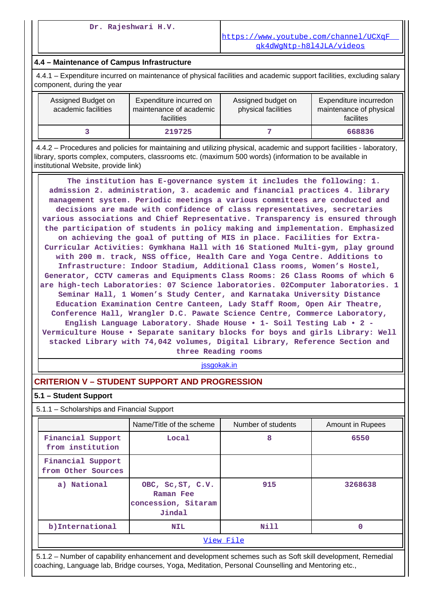#### **4.4 – Maintenance of Campus Infrastructure**

 4.4.1 – Expenditure incurred on maintenance of physical facilities and academic support facilities, excluding salary component, during the year

| Assigned Budget on<br>academic facilities | Expenditure incurred on<br>maintenance of academic<br>facilities | Assigned budget on<br>physical facilities | Expenditure incurredon<br>maintenance of physical<br>facilites |
|-------------------------------------------|------------------------------------------------------------------|-------------------------------------------|----------------------------------------------------------------|
|                                           | 219725                                                           |                                           | 668836                                                         |

 4.4.2 – Procedures and policies for maintaining and utilizing physical, academic and support facilities - laboratory, library, sports complex, computers, classrooms etc. (maximum 500 words) (information to be available in institutional Website, provide link)

 **The institution has E-governance system it includes the following: 1. admission 2. administration, 3. academic and financial practices 4. library management system. Periodic meetings a various committees are conducted and decisions are made with confidence of class representatives, secretaries various associations and Chief Representative. Transparency is ensured through the participation of students in policy making and implementation. Emphasized on achieving the goal of putting of MIS in place. Facilities for Extra-Curricular Activities: Gymkhana Hall with 16 Stationed Multi-gym, play ground with 200 m. track, NSS office, Health Care and Yoga Centre. Additions to Infrastructure: Indoor Stadium, Additional Class rooms, Women's Hostel, Generator, CCTV cameras and Equipments Class Rooms: 26 Class Rooms of which 6 are high-tech Laboratories: 07 Science laboratories. 02Computer laboratories. 1 Seminar Hall, 1 Women's Study Center, and Karnataka University Distance Education Examination Centre Canteen, Lady Staff Room, Open Air Theatre, Conference Hall, Wrangler D.C. Pawate Science Centre, Commerce Laboratory, English Language Laboratory. Shade House • 1- Soil Testing Lab • 2 - Vermiculture House • Separate sanitary blocks for boys and girls Library: Well stacked Library with 74,042 volumes, Digital Library, Reference Section and three Reading rooms**

<jssgokak.in>

## **CRITERION V – STUDENT SUPPORT AND PROGRESSION**

#### **5.1 – Student Support**

5.1.1 – Scholarships and Financial Support

|                                         | Name/Title of the scheme                                        | Number of students | Amount in Rupees |  |  |
|-----------------------------------------|-----------------------------------------------------------------|--------------------|------------------|--|--|
| Financial Support<br>from institution   | Local                                                           | 8                  | 6550             |  |  |
| Financial Support<br>from Other Sources |                                                                 |                    |                  |  |  |
| a) National                             | OBC, Sc, ST, C.V.<br>Raman Fee<br>concession, Sitaram<br>Jindal | 915                | 3268638          |  |  |
| b) International                        | <b>NIL</b>                                                      | Nill               | 0                |  |  |
| View File                               |                                                                 |                    |                  |  |  |

 5.1.2 – Number of capability enhancement and development schemes such as Soft skill development, Remedial coaching, Language lab, Bridge courses, Yoga, Meditation, Personal Counselling and Mentoring etc.,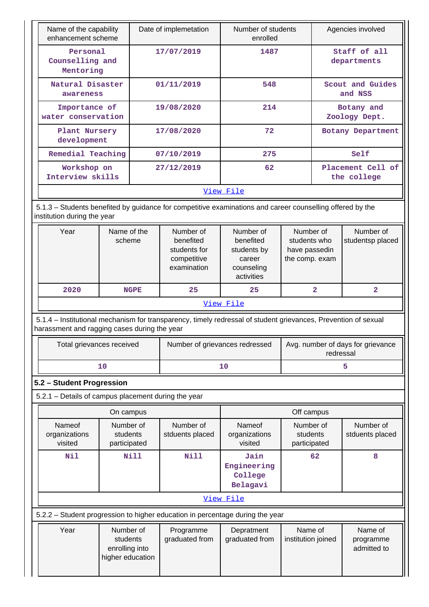| Name of the capability<br>enhancement scheme                                                                                                                   |                                       |                                                                      |                                                                                  |                                                              |                                  |  |
|----------------------------------------------------------------------------------------------------------------------------------------------------------------|---------------------------------------|----------------------------------------------------------------------|----------------------------------------------------------------------------------|--------------------------------------------------------------|----------------------------------|--|
|                                                                                                                                                                |                                       | Date of implemetation                                                | Number of students<br>enrolled                                                   |                                                              | Agencies involved                |  |
| Personal<br>Counselling and<br>Mentoring                                                                                                                       |                                       | 17/07/2019                                                           | 1487                                                                             |                                                              | Staff of all<br>departments      |  |
| Natural Disaster<br>awareness                                                                                                                                  |                                       | 01/11/2019                                                           | 548                                                                              |                                                              | Scout and Guides<br>and NSS      |  |
| Importance of<br>water conservation                                                                                                                            |                                       | 19/08/2020                                                           | 214                                                                              |                                                              | Botany and<br>Zoology Dept.      |  |
| Plant Nursery<br>development                                                                                                                                   |                                       | 17/08/2020                                                           | 72                                                                               |                                                              | Botany Department                |  |
| Remedial Teaching                                                                                                                                              |                                       | 07/10/2019                                                           | 275                                                                              |                                                              | Self                             |  |
| Workshop on<br>Interview skills                                                                                                                                |                                       | 27/12/2019                                                           | 62                                                                               |                                                              | Placement Cell of<br>the college |  |
|                                                                                                                                                                |                                       |                                                                      | View File                                                                        |                                                              |                                  |  |
| 5.1.3 – Students benefited by guidance for competitive examinations and career counselling offered by the<br>institution during the year                       |                                       |                                                                      |                                                                                  |                                                              |                                  |  |
| Year                                                                                                                                                           | Name of the<br>scheme                 | Number of<br>benefited<br>students for<br>competitive<br>examination | Number of<br>benefited<br>students by<br>career<br>counseling<br>activities      | Number of<br>students who<br>have passedin<br>the comp. exam | Number of<br>studentsp placed    |  |
| 2020                                                                                                                                                           | <b>NGPE</b>                           | 25                                                                   | 25                                                                               | $\overline{2}$                                               | $\overline{\mathbf{2}}$          |  |
|                                                                                                                                                                |                                       |                                                                      | View File                                                                        |                                                              |                                  |  |
| 5.1.4 – Institutional mechanism for transparency, timely redressal of student grievances, Prevention of sexual<br>harassment and ragging cases during the year |                                       |                                                                      |                                                                                  |                                                              |                                  |  |
|                                                                                                                                                                | Total grievances received             |                                                                      | Number of grievances redressed<br>Avg. number of days for grievance<br>redressal |                                                              |                                  |  |
|                                                                                                                                                                | 10                                    |                                                                      | 10                                                                               | 5                                                            |                                  |  |
| 5.2 - Student Progression                                                                                                                                      |                                       |                                                                      |                                                                                  |                                                              |                                  |  |
| 5.2.1 - Details of campus placement during the year                                                                                                            |                                       |                                                                      |                                                                                  |                                                              |                                  |  |
|                                                                                                                                                                | On campus                             |                                                                      |                                                                                  | Off campus                                                   |                                  |  |
| Nameof<br>organizations<br>visited                                                                                                                             | Number of<br>students<br>participated | Number of<br>stduents placed                                         | Nameof<br>organizations<br>visited                                               | Number of<br>students<br>participated                        | Number of<br>stduents placed     |  |
| Nil                                                                                                                                                            | Nill                                  | Nill                                                                 | Jain<br>Engineering<br>College<br>Belagavi                                       | 62                                                           | 8                                |  |
|                                                                                                                                                                |                                       |                                                                      |                                                                                  |                                                              |                                  |  |
|                                                                                                                                                                |                                       |                                                                      | View File                                                                        |                                                              |                                  |  |
| 5.2.2 - Student progression to higher education in percentage during the year                                                                                  |                                       |                                                                      |                                                                                  |                                                              |                                  |  |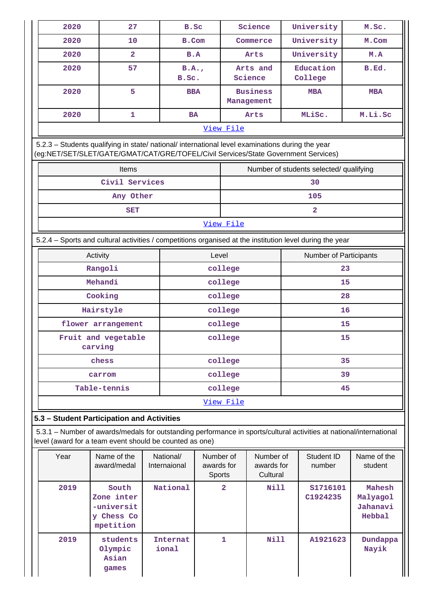| 2020      | 27             | B.Sc          | Science                       | University           | M.Sc.      |
|-----------|----------------|---------------|-------------------------------|----------------------|------------|
| 2020      | 10             | B.Com         | Commerce                      | University           | M.Com      |
| 2020      | $\overline{a}$ | B.A           | Arts                          | University           | M.A        |
| 2020      | 57             | B.A.<br>B.Sc. | Arts and<br>Science           | Education<br>College | B.Ed.      |
| 2020      | 5              | <b>BBA</b>    | <b>Business</b><br>Management | <b>MBA</b>           | <b>MBA</b> |
| 2020      |                | <b>BA</b>     | Arts                          | MLiSc.               | M.Li.Sc    |
| View File |                |               |                               |                      |            |

 5.2.3 – Students qualifying in state/ national/ international level examinations during the year (eg:NET/SET/SLET/GATE/GMAT/CAT/GRE/TOFEL/Civil Services/State Government Services)

| <b>Items</b>   | Number of students selected/ qualifying |  |  |  |  |
|----------------|-----------------------------------------|--|--|--|--|
| Civil Services | 30                                      |  |  |  |  |
| Any Other      | 105                                     |  |  |  |  |
| <b>SET</b>     |                                         |  |  |  |  |
| View File      |                                         |  |  |  |  |

5.2.4 – Sports and cultural activities / competitions organised at the institution level during the year

| Activity                       | Level   | Number of Participants |  |  |
|--------------------------------|---------|------------------------|--|--|
| Rangoli                        | college | 23                     |  |  |
| Mehandi                        | college | 15                     |  |  |
| Cooking                        | college | 28                     |  |  |
| Hairstyle                      | college | 16                     |  |  |
| flower arrangement             | college | 15                     |  |  |
| Fruit and vegetable<br>carving | college | 15                     |  |  |
| chess                          | college | 35                     |  |  |
| carrom                         | college | 39                     |  |  |
| Table-tennis                   | college | 45                     |  |  |
| View File                      |         |                        |  |  |

#### **5.3 – Student Participation and Activities**

 5.3.1 – Number of awards/medals for outstanding performance in sports/cultural activities at national/international level (award for a team event should be counted as one)

| Year | Name of the<br>award/medal                                   | National/<br>Internaional | Number of<br>awards for<br><b>Sports</b> | Number of<br>awards for<br>Cultural | Student ID<br>number | Name of the<br>student                          |
|------|--------------------------------------------------------------|---------------------------|------------------------------------------|-------------------------------------|----------------------|-------------------------------------------------|
| 2019 | South<br>Zone inter<br>-universit<br>y Chess Co<br>mpetition | National                  | $\overline{a}$                           | Nill                                | S1716101<br>C1924235 | Mahesh<br>Malyagol<br>Jahanavi<br><b>Hebbal</b> |
| 2019 | students<br>Olympic<br>Asian<br>games                        | Internat<br>ional         | 1                                        | Nill                                | A1921623             | Dundappa<br>Nayik                               |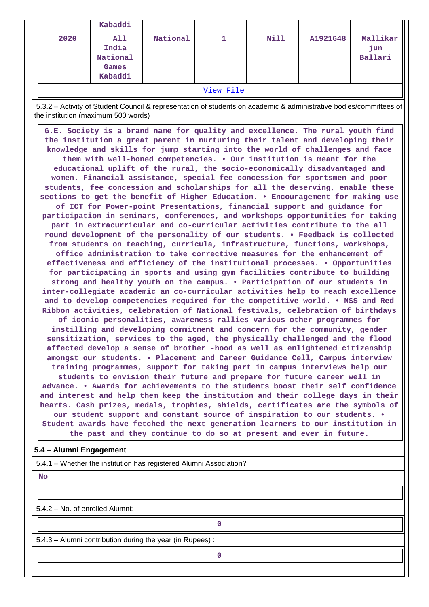|                  | Kabaddi                                      |          |  |      |          |                            |
|------------------|----------------------------------------------|----------|--|------|----------|----------------------------|
| 2020             | All<br>India<br>National<br>Games<br>Kabaddi | National |  | Nill | A1921648 | Mallikar<br>jun<br>Ballari |
| ママネ こうし せいき コーヒー |                                              |          |  |      |          |                            |

[View File](https://assessmentonline.naac.gov.in/public/Postacc/awards_in_activities/5930_awards_in_activities_1629114775.xlsx)

 5.3.2 – Activity of Student Council & representation of students on academic & administrative bodies/committees of the institution (maximum 500 words)

 **G.E. Society is a brand name for quality and excellence. The rural youth find the institution a great parent in nurturing their talent and developing their knowledge and skills for jump starting into the world of challenges and face them with well-honed competencies. • Our institution is meant for the educational uplift of the rural, the socio-economically disadvantaged and women. Financial assistance, special fee concession for sportsmen and poor students, fee concession and scholarships for all the deserving, enable these sections to get the benefit of Higher Education. • Encouragement for making use of ICT for Power-point Presentations, financial support and guidance for participation in seminars, conferences, and workshops opportunities for taking part in extracurricular and co-curricular activities contribute to the all round development of the personality of our students. • Feedback is collected from students on teaching, curricula, infrastructure, functions, workshops, office administration to take corrective measures for the enhancement of effectiveness and efficiency of the institutional processes. • Opportunities for participating in sports and using gym facilities contribute to building strong and healthy youth on the campus. • Participation of our students in inter-collegiate academic an co-curricular activities help to reach excellence and to develop competencies required for the competitive world. • NSS and Red Ribbon activities, celebration of National festivals, celebration of birthdays of iconic personalities, awareness rallies various other programmes for instilling and developing commitment and concern for the community, gender sensitization, services to the aged, the physically challenged and the flood affected develop a sense of brother -hood as well as enlightened citizenship amongst our students. • Placement and Career Guidance Cell, Campus interview training programmes, support for taking part in campus interviews help our students to envision their future and prepare for future career well in advance. • Awards for achievements to the students boost their self confidence and interest and help them keep the institution and their college days in their hearts. Cash prizes, medals, trophies, shields, certificates are the symbols of our student support and constant source of inspiration to our students. • Student awards have fetched the next generation learners to our institution in the past and they continue to do so at present and ever in future.**

#### **5.4 – Alumni Engagement**

5.4.1 – Whether the institution has registered Alumni Association?

 **No**

5.4.2 – No. of enrolled Alumni:

**0**

5.4.3 – Alumni contribution during the year (in Rupees) :

**0**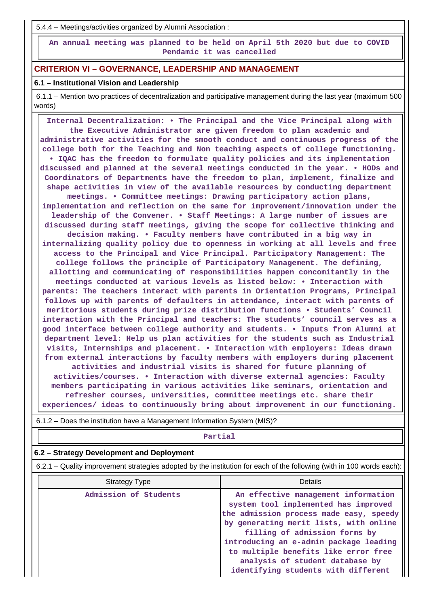5.4.4 – Meetings/activities organized by Alumni Association :

 **An annual meeting was planned to be held on April 5th 2020 but due to COVID Pendamic it was cancelled**

#### **CRITERION VI – GOVERNANCE, LEADERSHIP AND MANAGEMENT**

#### **6.1 – Institutional Vision and Leadership**

 6.1.1 – Mention two practices of decentralization and participative management during the last year (maximum 500 words)

 **Internal Decentralization: • The Principal and the Vice Principal along with the Executive Administrator are given freedom to plan academic and administrative activities for the smooth conduct and continuous progress of the college both for the Teaching and Non teaching aspects of college functioning. • IQAC has the freedom to formulate quality policies and its implementation discussed and planned at the several meetings conducted in the year. • HODs and Coordinators of Departments have the freedom to plan, implement, finalize and shape activities in view of the available resources by conducting department meetings. • Committee meetings: Drawing participatory action plans, implementation and reflection on the same for improvement/innovation under the leadership of the Convener. • Staff Meetings: A large number of issues are discussed during staff meetings, giving the scope for collective thinking and decision making. • Faculty members have contributed in a big way in internalizing quality policy due to openness in working at all levels and free access to the Principal and Vice Principal. Participatory Management: The college follows the principle of Participatory Management. The defining, allotting and communicating of responsibilities happen concomitantly in the meetings conducted at various levels as listed below: • Interaction with parents: The teachers interact with parents in Orientation Programs, Principal follows up with parents of defaulters in attendance, interact with parents of meritorious students during prize distribution functions • Students' Council interaction with the Principal and teachers: The students' council serves as a good interface between college authority and students. • Inputs from Alumni at department level: Help us plan activities for the students such as Industrial visits, Internships and placement. • Interaction with employers: Ideas drawn from external interactions by faculty members with employers during placement activities and industrial visits is shared for future planning of activities/courses. • Interaction with diverse external agencies: Faculty members participating in various activities like seminars, orientation and refresher courses, universities, committee meetings etc. share their experiences/ ideas to continuously bring about improvement in our functioning.**

 **Partial 6.2 – Strategy Development and Deployment** 6.2.1 – Quality improvement strategies adopted by the institution for each of the following (with in 100 words each): Strategy Type **Details** Admission of Students **An effective management information system tool implemented has improved the admission process made easy, speedy by generating merit lists, with online filling of admission forms by introducing an e-admin package leading to multiple benefits like error free analysis of student database by identifying students with different**

6.1.2 – Does the institution have a Management Information System (MIS)?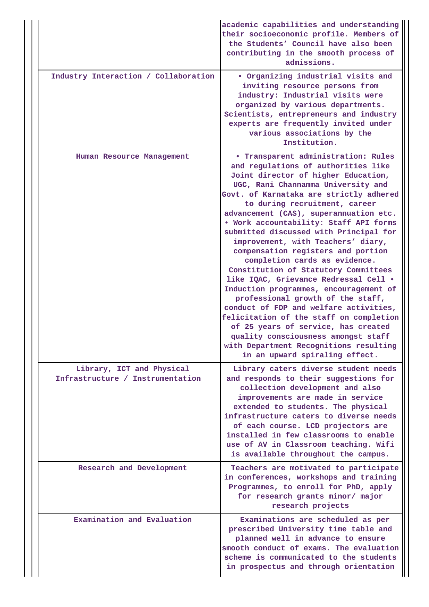|  |                                                               | academic capabilities and understanding<br>their socioeconomic profile. Members of<br>the Students' Council have also been<br>contributing in the smooth process of<br>admissions.                                                                                                                                                                                                                                                                                                                                                                                                                                                                                                                                                                                                                                                                                                                   |
|--|---------------------------------------------------------------|------------------------------------------------------------------------------------------------------------------------------------------------------------------------------------------------------------------------------------------------------------------------------------------------------------------------------------------------------------------------------------------------------------------------------------------------------------------------------------------------------------------------------------------------------------------------------------------------------------------------------------------------------------------------------------------------------------------------------------------------------------------------------------------------------------------------------------------------------------------------------------------------------|
|  | Industry Interaction / Collaboration                          | . Organizing industrial visits and<br>inviting resource persons from<br>industry: Industrial visits were<br>organized by various departments.<br>Scientists, entrepreneurs and industry<br>experts are frequently invited under<br>various associations by the<br>Institution.                                                                                                                                                                                                                                                                                                                                                                                                                                                                                                                                                                                                                       |
|  | Human Resource Management                                     | <b>• Transparent administration: Rules</b><br>and regulations of authorities like<br>Joint director of higher Education,<br>UGC, Rani Channamma University and<br>Govt. of Karnataka are strictly adhered<br>to during recruitment, career<br>advancement (CAS), superannuation etc.<br>. Work accountability: Staff API forms<br>submitted discussed with Principal for<br>improvement, with Teachers' diary,<br>compensation registers and portion<br>completion cards as evidence.<br>Constitution of Statutory Committees<br>like IQAC, Grievance Redressal Cell .<br>Induction programmes, encouragement of<br>professional growth of the staff,<br>conduct of FDP and welfare activities,<br>felicitation of the staff on completion<br>of 25 years of service, has created<br>quality consciousness amongst staff<br>with Department Recognitions resulting<br>in an upward spiraling effect. |
|  | Library, ICT and Physical<br>Infrastructure / Instrumentation | Library caters diverse student needs<br>and responds to their suggestions for<br>collection development and also<br>improvements are made in service<br>extended to students. The physical<br>infrastructure caters to diverse needs<br>of each course. LCD projectors are<br>installed in few classrooms to enable<br>use of AV in Classroom teaching. Wifi<br>is available throughout the campus.                                                                                                                                                                                                                                                                                                                                                                                                                                                                                                  |
|  | Research and Development                                      | Teachers are motivated to participate<br>in conferences, workshops and training<br>Programmes, to enroll for PhD, apply<br>for research grants minor/ major<br>research projects                                                                                                                                                                                                                                                                                                                                                                                                                                                                                                                                                                                                                                                                                                                     |
|  | Examination and Evaluation                                    | Examinations are scheduled as per<br>prescribed University time table and<br>planned well in advance to ensure<br>smooth conduct of exams. The evaluation<br>scheme is communicated to the students<br>in prospectus and through orientation                                                                                                                                                                                                                                                                                                                                                                                                                                                                                                                                                                                                                                                         |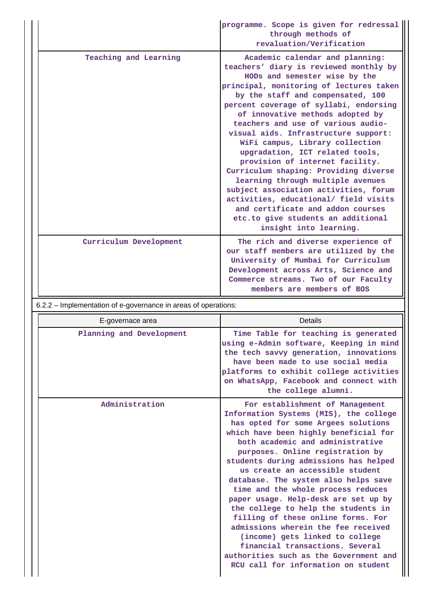|                                                                | programme. Scope is given for redressal<br>through methods of<br>revaluation/Verification                                                                                                                                                                                                                                                                                                                                                                                                                                                                                                                                                                                                                                            |
|----------------------------------------------------------------|--------------------------------------------------------------------------------------------------------------------------------------------------------------------------------------------------------------------------------------------------------------------------------------------------------------------------------------------------------------------------------------------------------------------------------------------------------------------------------------------------------------------------------------------------------------------------------------------------------------------------------------------------------------------------------------------------------------------------------------|
| Teaching and Learning                                          | Academic calendar and planning:<br>teachers' diary is reviewed monthly by<br>HODs and semester wise by the<br>principal, monitoring of lectures taken<br>by the staff and compensated, 100<br>percent coverage of syllabi, endorsing<br>of innovative methods adopted by<br>teachers and use of various audio-<br>visual aids. Infrastructure support:<br>WiFi campus, Library collection<br>upgradation, ICT related tools,<br>provision of internet facility.<br>Curriculum shaping: Providing diverse<br>learning through multiple avenues<br>subject association activities, forum<br>activities, educational/ field visits<br>and certificate and addon courses<br>etc.to give students an additional<br>insight into learning. |
| Curriculum Development                                         | The rich and diverse experience of<br>our staff members are utilized by the<br>University of Mumbai for Curriculum<br>Development across Arts, Science and<br>Commerce streams. Two of our Faculty<br>members are members of BOS                                                                                                                                                                                                                                                                                                                                                                                                                                                                                                     |
| 6.2.2 - Implementation of e-governance in areas of operations: |                                                                                                                                                                                                                                                                                                                                                                                                                                                                                                                                                                                                                                                                                                                                      |
| E-governace area                                               | Details                                                                                                                                                                                                                                                                                                                                                                                                                                                                                                                                                                                                                                                                                                                              |
| Planning and Development                                       | Time Table for teaching is generated<br>using e-Admin software, Keeping in mind<br>the tech savvy generation, innovations<br>have been made to use social media<br>platforms to exhibit college activities<br>on WhatsApp, Facebook and connect with<br>the college alumni.                                                                                                                                                                                                                                                                                                                                                                                                                                                          |
| Administration                                                 | For establishment of Management<br>Information Systems (MIS), the college<br>has opted for some Argees solutions<br>which have been highly beneficial for<br>both academic and administrative<br>purposes. Online registration by<br>students during admissions has helped<br>us create an accessible student<br>database. The system also helps save<br>time and the whole process reduces<br>paper usage. Help-desk are set up by                                                                                                                                                                                                                                                                                                  |

**the college to help the students in filling of these online forms. For admissions wherein the fee received (income) gets linked to college financial transactions. Several authorities such as the Government and RCU call for information on student**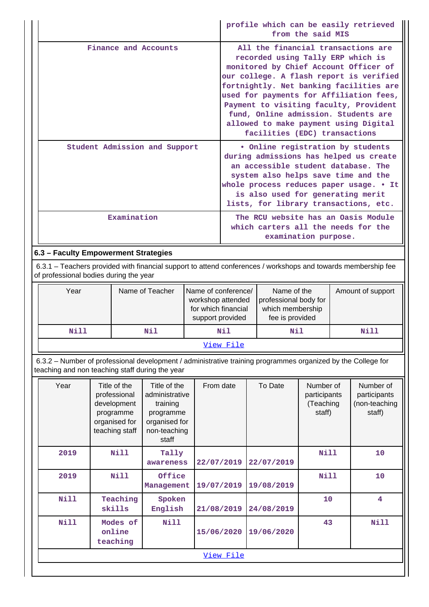|                               | profile which can be easily retrieved<br>from the said MIS                                                                                                                                                                                                                                                                                                                                                    |
|-------------------------------|---------------------------------------------------------------------------------------------------------------------------------------------------------------------------------------------------------------------------------------------------------------------------------------------------------------------------------------------------------------------------------------------------------------|
| Finance and Accounts          | All the financial transactions are<br>recorded using Tally ERP which is<br>monitored by Chief Account Officer of<br>our college. A flash report is verified<br>fortnightly. Net banking facilities are<br>used for payments for Affiliation fees,<br>Payment to visiting faculty, Provident<br>fund, Online admission. Students are<br>allowed to make payment using Digital<br>facilities (EDC) transactions |
| Student Admission and Support | • Online registration by students<br>during admissions has helped us create<br>an accessible student database. The<br>system also helps save time and the<br>whole process reduces paper usage. . It<br>is also used for generating merit<br>lists, for library transactions, etc.                                                                                                                            |
| Examination                   | The RCU website has an Oasis Module<br>which carters all the needs for the<br>examination purpose.                                                                                                                                                                                                                                                                                                            |

## **6.3 – Faculty Empowerment Strategies**

 6.3.1 – Teachers provided with financial support to attend conferences / workshops and towards membership fee of professional bodies during the year

| Year        | Name of Teacher | Name of conference/<br>workshop attended<br>for which financial<br>support provided | Name of the<br>professional body for<br>which membership<br>fee is provided | Amount of support |  |  |
|-------------|-----------------|-------------------------------------------------------------------------------------|-----------------------------------------------------------------------------|-------------------|--|--|
| Nill<br>Nil |                 | Nil<br>Nil                                                                          |                                                                             | Nill              |  |  |
| View File   |                 |                                                                                     |                                                                             |                   |  |  |

 6.3.2 – Number of professional development / administrative training programmes organized by the College for teaching and non teaching staff during the year

| Year        | Title of the<br>professional<br>development<br>programme<br>organised for<br>teaching staff | Title of the<br>administrative<br>training<br>programme<br>organised for<br>non-teaching<br>staff | From date  | To Date    | Number of<br>participants<br>(Teaching<br>staff) | Number of<br>participants<br>(non-teaching<br>staff) |  |  |
|-------------|---------------------------------------------------------------------------------------------|---------------------------------------------------------------------------------------------------|------------|------------|--------------------------------------------------|------------------------------------------------------|--|--|
| 2019        | Nill                                                                                        | Tally<br>awareness                                                                                | 22/07/2019 | 22/07/2019 | <b>Nill</b>                                      | 10                                                   |  |  |
| 2019        | <b>Nill</b>                                                                                 | Office<br>Management                                                                              | 19/07/2019 | 19/08/2019 | <b>Nill</b>                                      | 10                                                   |  |  |
| <b>Nill</b> | Teaching<br>skills                                                                          | Spoken<br>English                                                                                 | 21/08/2019 | 24/08/2019 | 10                                               | $\overline{\mathbf{4}}$                              |  |  |
| Nill        | Modes of<br>online<br>teaching                                                              | <b>Nill</b>                                                                                       | 15/06/2020 | 19/06/2020 | 43                                               | Nill                                                 |  |  |
|             | View File                                                                                   |                                                                                                   |            |            |                                                  |                                                      |  |  |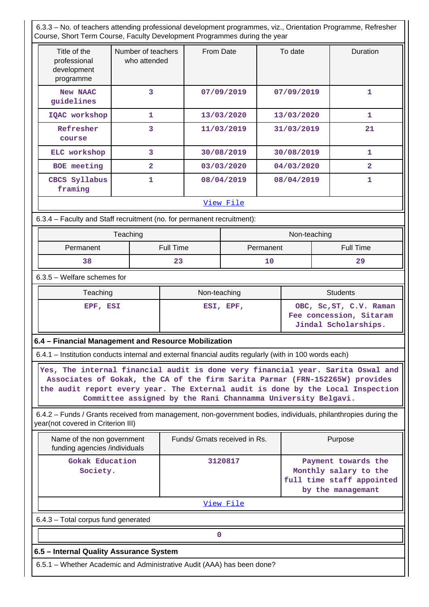6.3.3 – No. of teachers attending professional development programmes, viz., Orientation Programme, Refresher Course, Short Term Course, Faculty Development Programmes during the year

| Title of the<br>professional<br>development<br>programme | Number of teachers<br>who attended | From Date  | To date    | <b>Duration</b> |
|----------------------------------------------------------|------------------------------------|------------|------------|-----------------|
| <b>New NAAC</b><br>guidelines                            | 3                                  | 07/09/2019 | 07/09/2019 | 1               |
| IQAC workshop                                            | 1                                  | 13/03/2020 | 13/03/2020 | 1               |
| Refresher<br>course                                      | 3                                  | 11/03/2019 | 31/03/2019 | 21              |
| ELC workshop                                             | 3                                  | 30/08/2019 | 30/08/2019 | 1               |
| <b>BOE</b> meeting                                       | $\overline{a}$                     | 03/03/2020 | 04/03/2020 | $\overline{a}$  |
| CBCS Syllabus<br>framing                                 | 1                                  | 08/04/2019 | 08/04/2019 | 1               |
|                                                          |                                    | View File  |            |                 |

6.3.4 – Faculty and Staff recruitment (no. for permanent recruitment):

|           | Teaching         | Non-teaching |                  |  |
|-----------|------------------|--------------|------------------|--|
| Permanent | <b>Full Time</b> | Permanent    | <b>Full Time</b> |  |
| 38        | 23               | 1 C          | 29               |  |

6.3.5 – Welfare schemes for

| Teaching | Non-teaching | <b>Students</b>                                                            |
|----------|--------------|----------------------------------------------------------------------------|
| EPF, ESI | ESI, EPF,    | OBC, Sc, ST, C.V. Raman<br>Fee concession, Sitaram<br>Jindal Scholarships. |

#### **6.4 – Financial Management and Resource Mobilization**

6.4.1 – Institution conducts internal and external financial audits regularly (with in 100 words each)

 **Yes, The internal financial audit is done very financial year. Sarita Oswal and Associates of Gokak, the CA of the firm Sarita Parmar (FRN-152265W) provides the audit report every year. The External audit is done by the Local Inspection Committee assigned by the Rani Channamma University Belgavi.**

 6.4.2 – Funds / Grants received from management, non-government bodies, individuals, philanthropies during the year(not covered in Criterion III)

| Name of the non government<br>funding agencies /individuals            | Funds/ Grnats received in Rs. | Purpose                                                                                        |  |  |  |  |  |
|------------------------------------------------------------------------|-------------------------------|------------------------------------------------------------------------------------------------|--|--|--|--|--|
| Gokak Education<br>Society.                                            | 3120817                       | Payment towards the<br>Monthly salary to the<br>full time staff appointed<br>by the managemant |  |  |  |  |  |
|                                                                        | View File                     |                                                                                                |  |  |  |  |  |
| 6.4.3 - Total corpus fund generated                                    |                               |                                                                                                |  |  |  |  |  |
|                                                                        |                               |                                                                                                |  |  |  |  |  |
| 6.5 – Internal Quality Assurance System                                |                               |                                                                                                |  |  |  |  |  |
| 6.5.1 – Whether Academic and Administrative Audit (AAA) has been done? |                               |                                                                                                |  |  |  |  |  |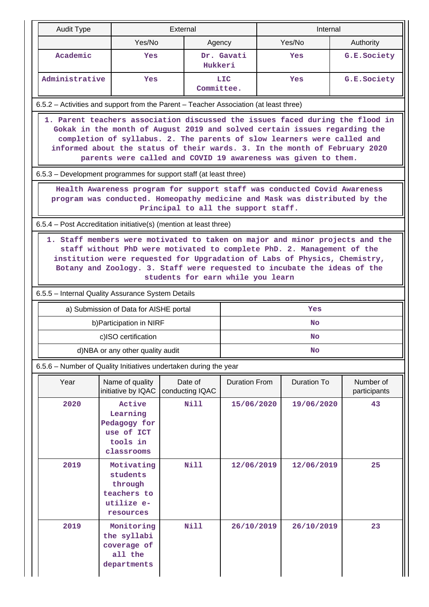| <b>Audit Type</b>                                                                                                                                                                                                                                                                                                                                                                    |                                                                             | External |                            |                      | Internal  |                    |  |                           |
|--------------------------------------------------------------------------------------------------------------------------------------------------------------------------------------------------------------------------------------------------------------------------------------------------------------------------------------------------------------------------------------|-----------------------------------------------------------------------------|----------|----------------------------|----------------------|-----------|--------------------|--|---------------------------|
|                                                                                                                                                                                                                                                                                                                                                                                      | Yes/No                                                                      |          | Agency                     |                      |           | Yes/No             |  | Authority                 |
| Academic                                                                                                                                                                                                                                                                                                                                                                             | Yes                                                                         |          | Hukkeri                    | Dr. Gavati           |           | Yes                |  | G.E.Society               |
| Administrative                                                                                                                                                                                                                                                                                                                                                                       | Yes                                                                         |          | Committee.                 | <b>LIC</b>           |           | Yes                |  | G.E.Society               |
| 6.5.2 - Activities and support from the Parent - Teacher Association (at least three)                                                                                                                                                                                                                                                                                                |                                                                             |          |                            |                      |           |                    |  |                           |
| 1. Parent teachers association discussed the issues faced during the flood in<br>Gokak in the month of August 2019 and solved certain issues regarding the<br>completion of syllabus. 2. The parents of slow learners were called and<br>informed about the status of their wards. 3. In the month of February 2020<br>parents were called and COVID 19 awareness was given to them. |                                                                             |          |                            |                      |           |                    |  |                           |
| 6.5.3 – Development programmes for support staff (at least three)                                                                                                                                                                                                                                                                                                                    |                                                                             |          |                            |                      |           |                    |  |                           |
| Health Awareness program for support staff was conducted Covid Awareness<br>program was conducted. Homeopathy medicine and Mask was distributed by the<br>Principal to all the support staff.                                                                                                                                                                                        |                                                                             |          |                            |                      |           |                    |  |                           |
| 6.5.4 – Post Accreditation initiative(s) (mention at least three)                                                                                                                                                                                                                                                                                                                    |                                                                             |          |                            |                      |           |                    |  |                           |
| 1. Staff members were motivated to taken on major and minor projects and the<br>staff without PhD were motivated to complete PhD. 2. Management of the<br>institution were requested for Upgradation of Labs of Physics, Chemistry,<br>Botany and Zoology. 3. Staff were requested to incubate the ideas of the<br>students for earn while you learn                                 |                                                                             |          |                            |                      |           |                    |  |                           |
| 6.5.5 - Internal Quality Assurance System Details                                                                                                                                                                                                                                                                                                                                    |                                                                             |          |                            |                      |           |                    |  |                           |
|                                                                                                                                                                                                                                                                                                                                                                                      | a) Submission of Data for AISHE portal                                      |          |                            |                      |           | Yes                |  |                           |
|                                                                                                                                                                                                                                                                                                                                                                                      | b) Participation in NIRF                                                    |          |                            | <b>No</b>            |           |                    |  |                           |
|                                                                                                                                                                                                                                                                                                                                                                                      | c)ISO certification                                                         |          |                            | <b>No</b>            |           |                    |  |                           |
|                                                                                                                                                                                                                                                                                                                                                                                      | d)NBA or any other quality audit                                            |          |                            |                      | <b>No</b> |                    |  |                           |
| 6.5.6 - Number of Quality Initiatives undertaken during the year                                                                                                                                                                                                                                                                                                                     |                                                                             |          |                            |                      |           |                    |  |                           |
| Year                                                                                                                                                                                                                                                                                                                                                                                 | Name of quality<br>initiative by IQAC                                       |          | Date of<br>conducting IQAC | <b>Duration From</b> |           | <b>Duration To</b> |  | Number of<br>participants |
| 2020                                                                                                                                                                                                                                                                                                                                                                                 | Active<br>Learning<br>Pedagogy for<br>use of ICT<br>tools in<br>classrooms  |          | <b>Nill</b>                | 15/06/2020           |           | 19/06/2020         |  | 43                        |
| 2019                                                                                                                                                                                                                                                                                                                                                                                 | Motivating<br>students<br>through<br>teachers to<br>utilize e-<br>resources |          | <b>Nill</b>                | 12/06/2019           |           | 12/06/2019         |  | 25                        |
| 2019                                                                                                                                                                                                                                                                                                                                                                                 | Monitoring<br>the syllabi<br>coverage of<br>all the<br>departments          |          | Nill                       | 26/10/2019           |           | 26/10/2019         |  | 23                        |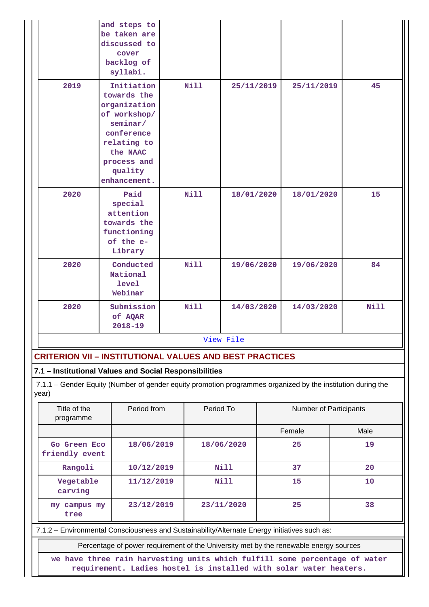|      | and steps to<br>be taken are<br>discussed to<br>cover<br>backlog of<br>syllabi.                                                                          |             |            |            |             |
|------|----------------------------------------------------------------------------------------------------------------------------------------------------------|-------------|------------|------------|-------------|
| 2019 | Initiation<br>towards the<br>organization<br>of workshop/<br>seminar/<br>conference<br>relating to<br>the NAAC<br>process and<br>quality<br>enhancement. | <b>Nill</b> | 25/11/2019 | 25/11/2019 | 45          |
| 2020 | Paid<br>special<br>attention<br>towards the<br>functioning<br>of the e-<br>Library                                                                       | Nill        | 18/01/2020 | 18/01/2020 | 15          |
| 2020 | Conducted<br>National<br><b>level</b><br>Webinar                                                                                                         | <b>Nill</b> | 19/06/2020 | 19/06/2020 | 84          |
| 2020 | Submission<br>of AQAR<br>$2018 - 19$                                                                                                                     | <b>Nill</b> | 14/03/2020 | 14/03/2020 | <b>Nill</b> |
|      |                                                                                                                                                          |             | View File  |            |             |

#### **CRITERION VII – INSTITUTIONAL VALUES AND BEST PRACTICES**

#### **7.1 – Institutional Values and Social Responsibilities**

 7.1.1 – Gender Equity (Number of gender equity promotion programmes organized by the institution during the year)

| Title of the<br>programme                                                                    | Period from | Period To   | Number of Participants |    |  |  |
|----------------------------------------------------------------------------------------------|-------------|-------------|------------------------|----|--|--|
|                                                                                              |             |             | Female<br>Male         |    |  |  |
| Go Green Eco<br>friendly event                                                               | 18/06/2019  | 18/06/2020  | 25                     | 19 |  |  |
| Rangoli                                                                                      | 10/12/2019  | <b>Nill</b> | 37                     | 20 |  |  |
| Vegetable<br>carving                                                                         | 11/12/2019  | <b>Nill</b> | 15                     | 10 |  |  |
| my campus my<br>tree                                                                         | 23/12/2019  | 23/11/2020  | 25                     | 38 |  |  |
| 7.1.2 - Environmental Consciousness and Sustainability/Alternate Energy initiatives such as: |             |             |                        |    |  |  |

Percentage of power requirement of the University met by the renewable energy sources

**we have three rain harvesting units which fulfill some percentage of water requirement. Ladies hostel is installed with solar water heaters.**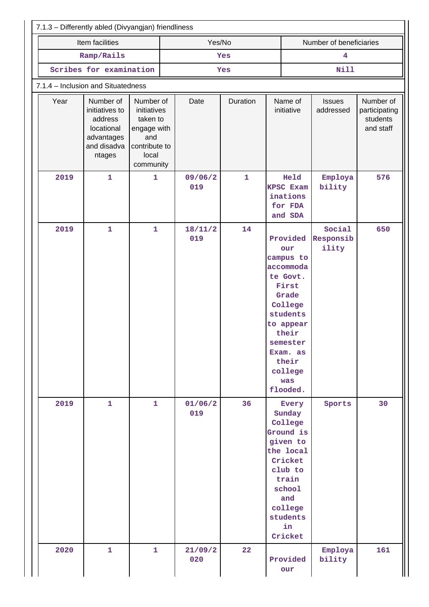| 7.1.3 - Differently abled (Divyangjan) friendliness                                                 |                                                                                                   |                |              |                                                                                                                                                                                     |                              |                                                     |  |  |  |
|-----------------------------------------------------------------------------------------------------|---------------------------------------------------------------------------------------------------|----------------|--------------|-------------------------------------------------------------------------------------------------------------------------------------------------------------------------------------|------------------------------|-----------------------------------------------------|--|--|--|
| Item facilities                                                                                     |                                                                                                   | Yes/No         |              |                                                                                                                                                                                     | Number of beneficiaries      |                                                     |  |  |  |
| Ramp/Rails                                                                                          |                                                                                                   | Yes            |              | $\overline{\mathbf{4}}$                                                                                                                                                             |                              |                                                     |  |  |  |
| Scribes for examination                                                                             |                                                                                                   |                | Yes          |                                                                                                                                                                                     | Nill                         |                                                     |  |  |  |
| 7.1.4 - Inclusion and Situatedness                                                                  |                                                                                                   |                |              |                                                                                                                                                                                     |                              |                                                     |  |  |  |
| Year<br>Number of<br>initiatives to<br>address<br>locational<br>advantages<br>and disadva<br>ntages | Number of<br>initiatives<br>taken to<br>engage with<br>and<br>contribute to<br>local<br>community | Date           | Duration     | Name of<br>initiative                                                                                                                                                               | <b>Issues</b><br>addressed   | Number of<br>participating<br>students<br>and staff |  |  |  |
| 2019<br>$\mathbf{1}$                                                                                | $\mathbf{1}$                                                                                      | 09/06/2<br>019 | $\mathbf{1}$ | Held<br><b>KPSC Exam</b><br>inations<br>for FDA<br>and SDA                                                                                                                          | Employa<br>bility            | 576                                                 |  |  |  |
| 2019<br>$\mathbf{1}$                                                                                | $\mathbf{1}$                                                                                      | 18/11/2<br>019 | 14           | Provided<br>our<br>campus to<br>accommoda<br>te Govt.<br>First<br>Grade<br>College<br>students<br>to appear<br>their<br>semester<br>Exam. as<br>their<br>college<br>was<br>flooded. | Social<br>Responsib<br>ility | 650                                                 |  |  |  |
| 2019<br>$\mathbf{1}$                                                                                | $\mathbf{1}$                                                                                      | 01/06/2<br>019 | 36           | Every<br>Sunday<br>College<br>Ground is<br>given to<br>the local<br>Cricket<br>club to<br>train<br>school<br>and<br>college<br>students<br>in<br>Cricket                            | Sports                       | 30                                                  |  |  |  |
| 2020<br>$\mathbf{1}$                                                                                | $\mathbf{1}$                                                                                      | 21/09/2<br>020 | 22           | Provided<br>our                                                                                                                                                                     | Employa<br>bility            | 161                                                 |  |  |  |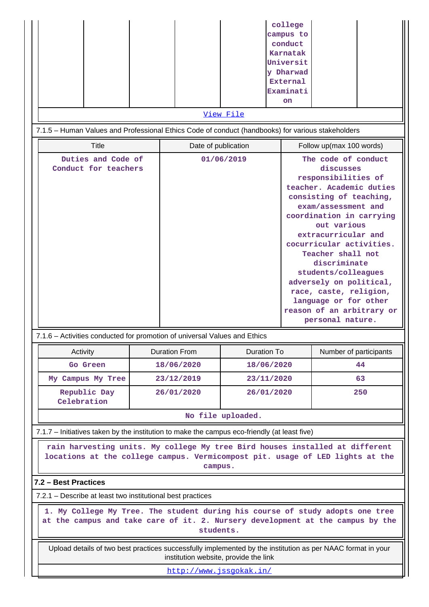|                                                                                                                                                                                                                                                                          |  |                                       |                    | college<br>campus to<br>conduct<br>Karnatak<br>Universit<br>y Dharwad<br><b>External</b><br>Examinati<br>on                                                                                                                                                                                                                                                                                             |                                                 |     |  |  |  |
|--------------------------------------------------------------------------------------------------------------------------------------------------------------------------------------------------------------------------------------------------------------------------|--|---------------------------------------|--------------------|---------------------------------------------------------------------------------------------------------------------------------------------------------------------------------------------------------------------------------------------------------------------------------------------------------------------------------------------------------------------------------------------------------|-------------------------------------------------|-----|--|--|--|
|                                                                                                                                                                                                                                                                          |  |                                       | View File          |                                                                                                                                                                                                                                                                                                                                                                                                         |                                                 |     |  |  |  |
| 7.1.5 - Human Values and Professional Ethics Code of conduct (handbooks) for various stakeholders                                                                                                                                                                        |  |                                       |                    |                                                                                                                                                                                                                                                                                                                                                                                                         |                                                 |     |  |  |  |
| <b>Title</b>                                                                                                                                                                                                                                                             |  | Date of publication                   | 01/06/2019         |                                                                                                                                                                                                                                                                                                                                                                                                         | Follow up(max 100 words)<br>The code of conduct |     |  |  |  |
| Duties and Code of<br>Conduct for teachers                                                                                                                                                                                                                               |  |                                       |                    | discusses<br>responsibilities of<br>teacher. Academic duties<br>consisting of teaching,<br>exam/assessment and<br>coordination in carrying<br>out various<br>extracurricular and<br>cocurricular activities.<br>Teacher shall not<br>discriminate<br>students/colleagues<br>adversely on political,<br>race, caste, religion,<br>language or for other<br>reason of an arbitrary or<br>personal nature. |                                                 |     |  |  |  |
| 7.1.6 – Activities conducted for promotion of universal Values and Ethics<br>Activity                                                                                                                                                                                    |  | <b>Duration From</b>                  | <b>Duration To</b> |                                                                                                                                                                                                                                                                                                                                                                                                         | Number of participants                          |     |  |  |  |
| Go Green                                                                                                                                                                                                                                                                 |  | 18/06/2020                            | 18/06/2020         |                                                                                                                                                                                                                                                                                                                                                                                                         |                                                 | 44  |  |  |  |
| My Campus My Tree                                                                                                                                                                                                                                                        |  | 23/12/2019                            | 23/11/2020         |                                                                                                                                                                                                                                                                                                                                                                                                         |                                                 | 63  |  |  |  |
| Republic Day<br>Celebration                                                                                                                                                                                                                                              |  | 26/01/2020                            | 26/01/2020         |                                                                                                                                                                                                                                                                                                                                                                                                         |                                                 | 250 |  |  |  |
|                                                                                                                                                                                                                                                                          |  |                                       | No file uploaded.  |                                                                                                                                                                                                                                                                                                                                                                                                         |                                                 |     |  |  |  |
| 7.1.7 – Initiatives taken by the institution to make the campus eco-friendly (at least five)<br>rain harvesting units. My college My tree Bird houses installed at different<br>locations at the college campus. Vermicompost pit. usage of LED lights at the<br>campus. |  |                                       |                    |                                                                                                                                                                                                                                                                                                                                                                                                         |                                                 |     |  |  |  |
| 7.2 - Best Practices                                                                                                                                                                                                                                                     |  |                                       |                    |                                                                                                                                                                                                                                                                                                                                                                                                         |                                                 |     |  |  |  |
| 7.2.1 – Describe at least two institutional best practices                                                                                                                                                                                                               |  |                                       |                    |                                                                                                                                                                                                                                                                                                                                                                                                         |                                                 |     |  |  |  |
| 1. My College My Tree. The student during his course of study adopts one tree<br>at the campus and take care of it. 2. Nursery development at the campus by the<br>students.                                                                                             |  |                                       |                    |                                                                                                                                                                                                                                                                                                                                                                                                         |                                                 |     |  |  |  |
| Upload details of two best practices successfully implemented by the institution as per NAAC format in your                                                                                                                                                              |  | institution website, provide the link |                    |                                                                                                                                                                                                                                                                                                                                                                                                         |                                                 |     |  |  |  |
|                                                                                                                                                                                                                                                                          |  | http://www.jssqokak.in/               |                    |                                                                                                                                                                                                                                                                                                                                                                                                         |                                                 |     |  |  |  |